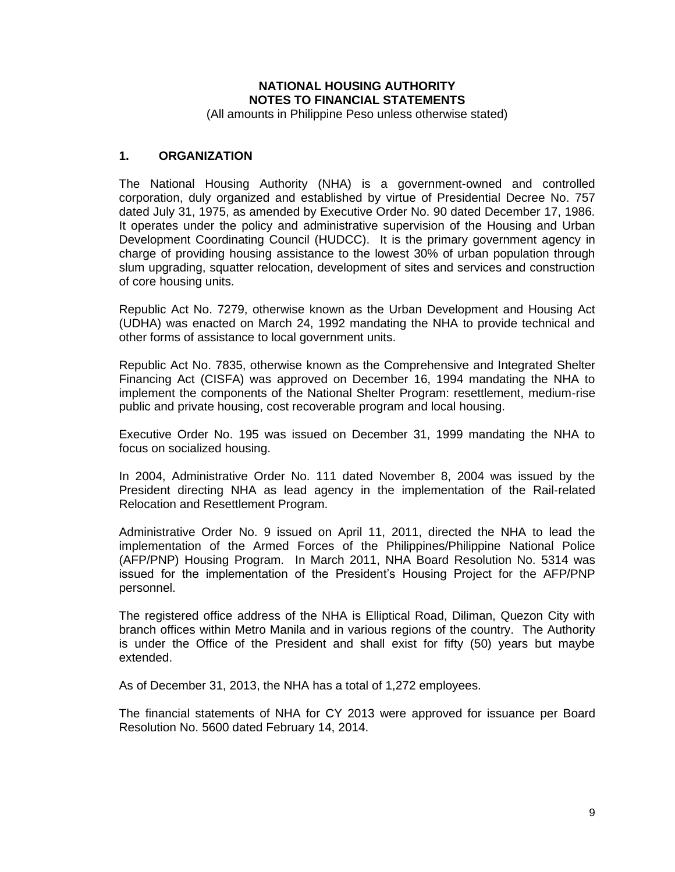# **NATIONAL HOUSING AUTHORITY NOTES TO FINANCIAL STATEMENTS**

(All amounts in Philippine Peso unless otherwise stated)

### **1. ORGANIZATION**

The National Housing Authority (NHA) is a government-owned and controlled corporation, duly organized and established by virtue of Presidential Decree No. 757 dated July 31, 1975, as amended by Executive Order No. 90 dated December 17, 1986. It operates under the policy and administrative supervision of the Housing and Urban Development Coordinating Council (HUDCC). It is the primary government agency in charge of providing housing assistance to the lowest 30% of urban population through slum upgrading, squatter relocation, development of sites and services and construction of core housing units.

Republic Act No. 7279, otherwise known as the Urban Development and Housing Act (UDHA) was enacted on March 24, 1992 mandating the NHA to provide technical and other forms of assistance to local government units.

Republic Act No. 7835, otherwise known as the Comprehensive and Integrated Shelter Financing Act (CISFA) was approved on December 16, 1994 mandating the NHA to implement the components of the National Shelter Program: resettlement, medium-rise public and private housing, cost recoverable program and local housing.

Executive Order No. 195 was issued on December 31, 1999 mandating the NHA to focus on socialized housing.

In 2004, Administrative Order No. 111 dated November 8, 2004 was issued by the President directing NHA as lead agency in the implementation of the Rail-related Relocation and Resettlement Program.

Administrative Order No. 9 issued on April 11, 2011, directed the NHA to lead the implementation of the Armed Forces of the Philippines/Philippine National Police (AFP/PNP) Housing Program. In March 2011, NHA Board Resolution No. 5314 was issued for the implementation of the President's Housing Project for the AFP/PNP personnel.

The registered office address of the NHA is Elliptical Road, Diliman, Quezon City with branch offices within Metro Manila and in various regions of the country. The Authority is under the Office of the President and shall exist for fifty (50) years but maybe extended.

As of December 31, 2013, the NHA has a total of 1,272 employees.

The financial statements of NHA for CY 2013 were approved for issuance per Board Resolution No. 5600 dated February 14, 2014.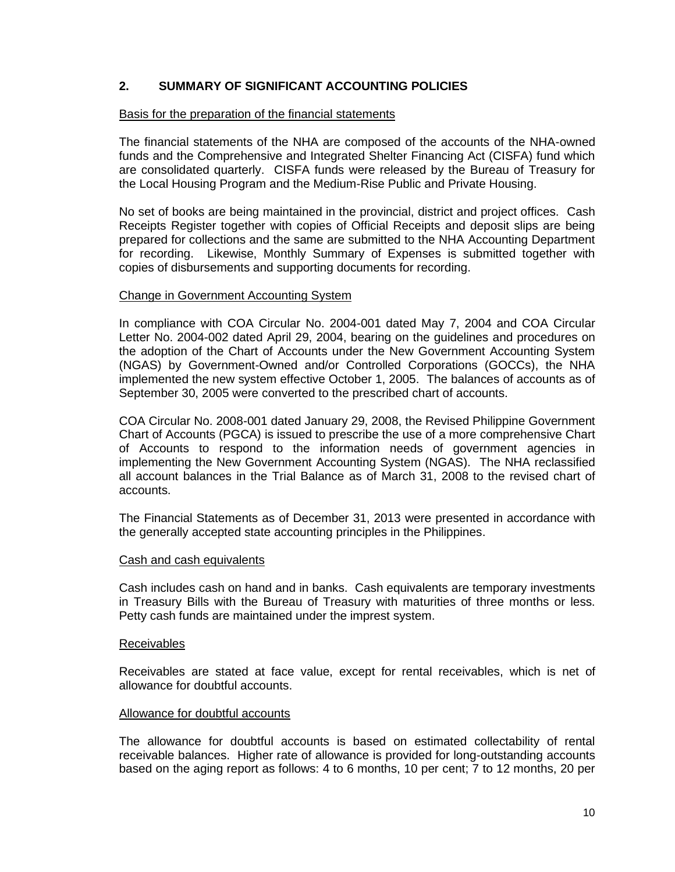# **2. SUMMARY OF SIGNIFICANT ACCOUNTING POLICIES**

#### Basis for the preparation of the financial statements

The financial statements of the NHA are composed of the accounts of the NHA-owned funds and the Comprehensive and Integrated Shelter Financing Act (CISFA) fund which are consolidated quarterly. CISFA funds were released by the Bureau of Treasury for the Local Housing Program and the Medium-Rise Public and Private Housing.

No set of books are being maintained in the provincial, district and project offices. Cash Receipts Register together with copies of Official Receipts and deposit slips are being prepared for collections and the same are submitted to the NHA Accounting Department for recording. Likewise, Monthly Summary of Expenses is submitted together with copies of disbursements and supporting documents for recording.

#### Change in Government Accounting System

In compliance with COA Circular No. 2004-001 dated May 7, 2004 and COA Circular Letter No. 2004-002 dated April 29, 2004, bearing on the guidelines and procedures on the adoption of the Chart of Accounts under the New Government Accounting System (NGAS) by Government-Owned and/or Controlled Corporations (GOCCs), the NHA implemented the new system effective October 1, 2005. The balances of accounts as of September 30, 2005 were converted to the prescribed chart of accounts.

COA Circular No. 2008-001 dated January 29, 2008, the Revised Philippine Government Chart of Accounts (PGCA) is issued to prescribe the use of a more comprehensive Chart of Accounts to respond to the information needs of government agencies in implementing the New Government Accounting System (NGAS). The NHA reclassified all account balances in the Trial Balance as of March 31, 2008 to the revised chart of accounts.

The Financial Statements as of December 31, 2013 were presented in accordance with the generally accepted state accounting principles in the Philippines.

#### Cash and cash equivalents

Cash includes cash on hand and in banks. Cash equivalents are temporary investments in Treasury Bills with the Bureau of Treasury with maturities of three months or less. Petty cash funds are maintained under the imprest system.

#### Receivables

Receivables are stated at face value, except for rental receivables, which is net of allowance for doubtful accounts.

#### Allowance for doubtful accounts

The allowance for doubtful accounts is based on estimated collectability of rental receivable balances. Higher rate of allowance is provided for long-outstanding accounts based on the aging report as follows: 4 to 6 months, 10 per cent; 7 to 12 months, 20 per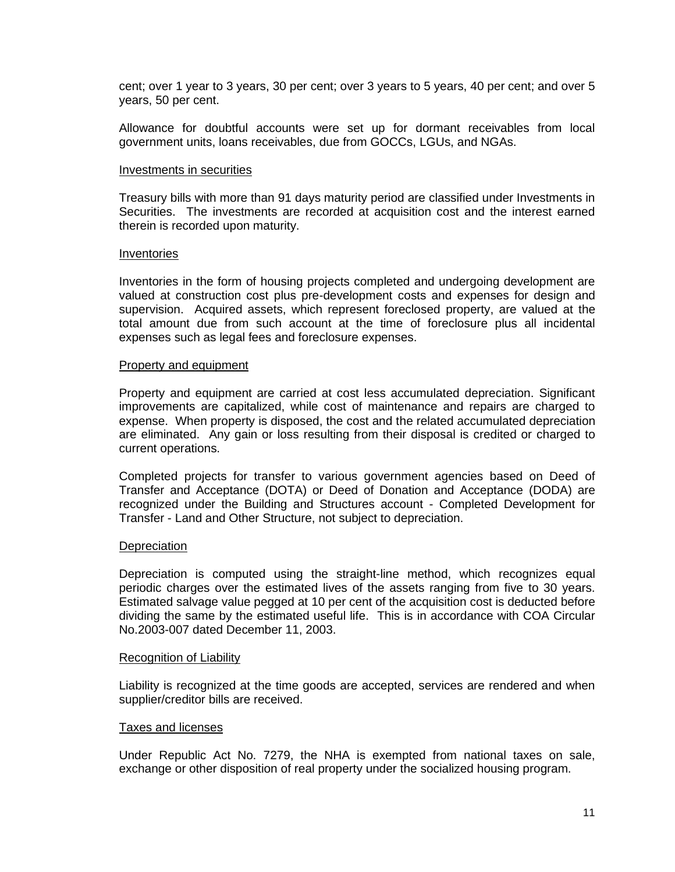cent; over 1 year to 3 years, 30 per cent; over 3 years to 5 years, 40 per cent; and over 5 years, 50 per cent.

Allowance for doubtful accounts were set up for dormant receivables from local government units, loans receivables, due from GOCCs, LGUs, and NGAs.

#### Investments in securities

Treasury bills with more than 91 days maturity period are classified under Investments in Securities. The investments are recorded at acquisition cost and the interest earned therein is recorded upon maturity.

#### Inventories

Inventories in the form of housing projects completed and undergoing development are valued at construction cost plus pre-development costs and expenses for design and supervision. Acquired assets, which represent foreclosed property, are valued at the total amount due from such account at the time of foreclosure plus all incidental expenses such as legal fees and foreclosure expenses.

#### Property and equipment

Property and equipment are carried at cost less accumulated depreciation. Significant improvements are capitalized, while cost of maintenance and repairs are charged to expense. When property is disposed, the cost and the related accumulated depreciation are eliminated. Any gain or loss resulting from their disposal is credited or charged to current operations.

Completed projects for transfer to various government agencies based on Deed of Transfer and Acceptance (DOTA) or Deed of Donation and Acceptance (DODA) are recognized under the Building and Structures account - Completed Development for Transfer - Land and Other Structure, not subject to depreciation.

#### **Depreciation**

Depreciation is computed using the straight-line method, which recognizes equal periodic charges over the estimated lives of the assets ranging from five to 30 years. Estimated salvage value pegged at 10 per cent of the acquisition cost is deducted before dividing the same by the estimated useful life. This is in accordance with COA Circular No.2003-007 dated December 11, 2003.

#### Recognition of Liability

Liability is recognized at the time goods are accepted, services are rendered and when supplier/creditor bills are received.

#### Taxes and licenses

Under Republic Act No. 7279, the NHA is exempted from national taxes on sale, exchange or other disposition of real property under the socialized housing program.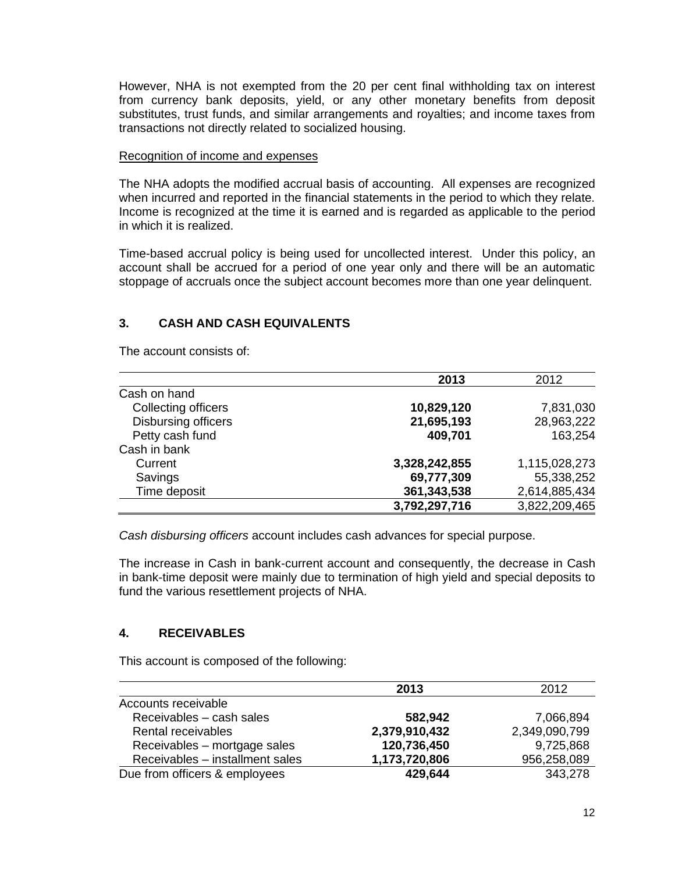However, NHA is not exempted from the 20 per cent final withholding tax on interest from currency bank deposits, yield, or any other monetary benefits from deposit substitutes, trust funds, and similar arrangements and royalties; and income taxes from transactions not directly related to socialized housing.

#### Recognition of income and expenses

The NHA adopts the modified accrual basis of accounting. All expenses are recognized when incurred and reported in the financial statements in the period to which they relate. Income is recognized at the time it is earned and is regarded as applicable to the period in which it is realized.

Time-based accrual policy is being used for uncollected interest. Under this policy, an account shall be accrued for a period of one year only and there will be an automatic stoppage of accruals once the subject account becomes more than one year delinquent.

# **3. CASH AND CASH EQUIVALENTS**

The account consists of:

|                     | 2013          | 2012          |
|---------------------|---------------|---------------|
| Cash on hand        |               |               |
| Collecting officers | 10,829,120    | 7,831,030     |
| Disbursing officers | 21,695,193    | 28,963,222    |
| Petty cash fund     | 409,701       | 163,254       |
| Cash in bank        |               |               |
| Current             | 3,328,242,855 | 1,115,028,273 |
| Savings             | 69,777,309    | 55,338,252    |
| Time deposit        | 361,343,538   | 2,614,885,434 |
|                     | 3,792,297,716 | 3,822,209,465 |

*Cash disbursing officers* account includes cash advances for special purpose.

The increase in Cash in bank-current account and consequently, the decrease in Cash in bank-time deposit were mainly due to termination of high yield and special deposits to fund the various resettlement projects of NHA.

# **4. RECEIVABLES**

This account is composed of the following:

|                                 | 2013          | 2012          |
|---------------------------------|---------------|---------------|
| Accounts receivable             |               |               |
| Receivables - cash sales        | 582,942       | 7,066,894     |
| Rental receivables              | 2,379,910,432 | 2,349,090,799 |
| Receivables - mortgage sales    | 120,736,450   | 9,725,868     |
| Receivables - installment sales | 1,173,720,806 | 956,258,089   |
| Due from officers & employees   | 429,644       | 343,278       |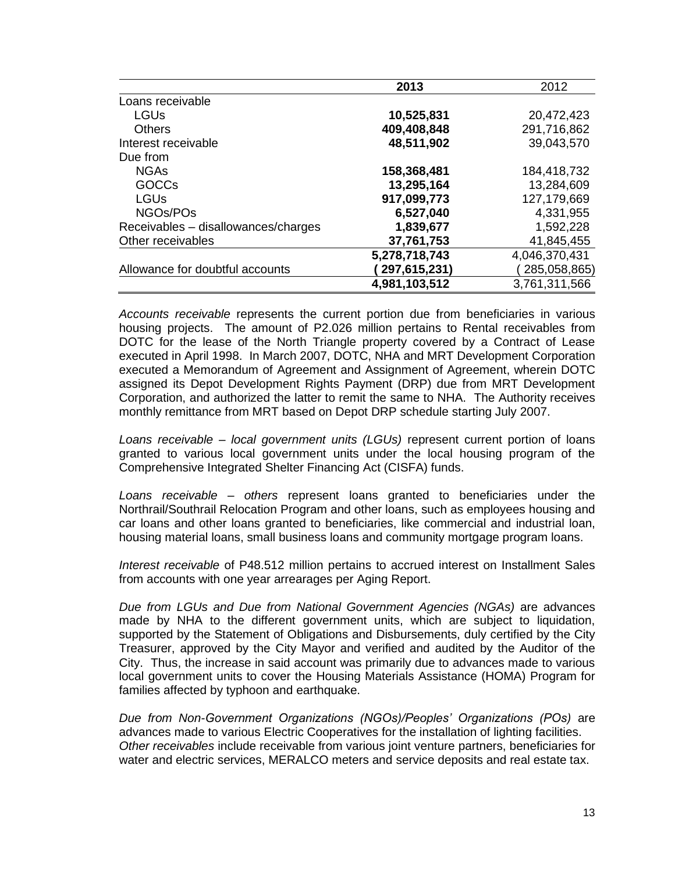|                                     | 2013          | 2012          |
|-------------------------------------|---------------|---------------|
| Loans receivable                    |               |               |
| <b>LGUs</b>                         | 10,525,831    | 20,472,423    |
| <b>Others</b>                       | 409,408,848   | 291,716,862   |
| Interest receivable                 | 48,511,902    | 39,043,570    |
| Due from                            |               |               |
| <b>NGAs</b>                         | 158,368,481   | 184,418,732   |
| <b>GOCCs</b>                        | 13,295,164    | 13,284,609    |
| <b>LGUs</b>                         | 917,099,773   | 127,179,669   |
| NGOs/POs                            | 6,527,040     | 4,331,955     |
| Receivables - disallowances/charges | 1,839,677     | 1,592,228     |
| Other receivables                   | 37,761,753    | 41,845,455    |
|                                     | 5,278,718,743 | 4,046,370,431 |
| Allowance for doubtful accounts     | 297,615,231)  | 285,058,865)  |
|                                     | 4,981,103,512 | 3,761,311,566 |

*Accounts receivable* represents the current portion due from beneficiaries in various housing projects. The amount of P2.026 million pertains to Rental receivables from DOTC for the lease of the North Triangle property covered by a Contract of Lease executed in April 1998. In March 2007, DOTC, NHA and MRT Development Corporation executed a Memorandum of Agreement and Assignment of Agreement, wherein DOTC assigned its Depot Development Rights Payment (DRP) due from MRT Development Corporation, and authorized the latter to remit the same to NHA. The Authority receives monthly remittance from MRT based on Depot DRP schedule starting July 2007.

*Loans receivable – local government units (LGUs)* represent current portion of loans granted to various local government units under the local housing program of the Comprehensive Integrated Shelter Financing Act (CISFA) funds.

*Loans receivable – others* represent loans granted to beneficiaries under the Northrail/Southrail Relocation Program and other loans, such as employees housing and car loans and other loans granted to beneficiaries, like commercial and industrial loan, housing material loans, small business loans and community mortgage program loans.

*Interest receivable* of P48.512 million pertains to accrued interest on Installment Sales from accounts with one year arrearages per Aging Report.

*Due from LGUs and Due from National Government Agencies (NGAs)* are advances made by NHA to the different government units, which are subject to liquidation, supported by the Statement of Obligations and Disbursements, duly certified by the City Treasurer, approved by the City Mayor and verified and audited by the Auditor of the City. Thus, the increase in said account was primarily due to advances made to various local government units to cover the Housing Materials Assistance (HOMA) Program for families affected by typhoon and earthquake.

*Due from Non-Government Organizations (NGOs)/Peoples' Organizations (POs)* are advances made to various Electric Cooperatives for the installation of lighting facilities. *Other receivables* include receivable from various joint venture partners, beneficiaries for water and electric services, MERALCO meters and service deposits and real estate tax.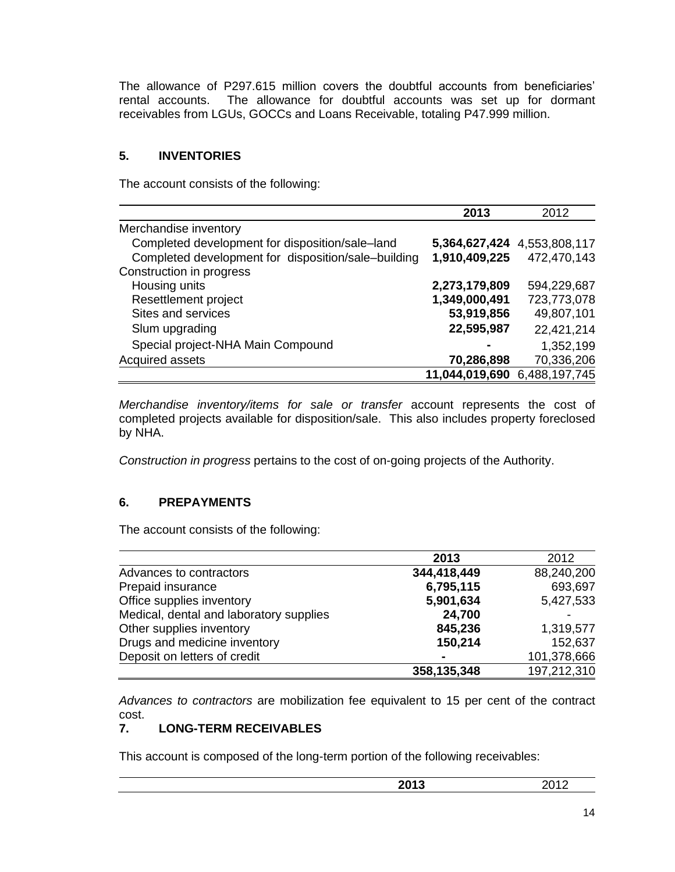The allowance of P297.615 million covers the doubtful accounts from beneficiaries' rental accounts. The allowance for doubtful accounts was set up for dormant receivables from LGUs, GOCCs and Loans Receivable, totaling P47.999 million.

# **5. INVENTORIES**

The account consists of the following:

|                                                     | 2013           | 2012          |
|-----------------------------------------------------|----------------|---------------|
| Merchandise inventory                               |                |               |
| Completed development for disposition/sale-land     | 5,364,627,424  | 4,553,808,117 |
| Completed development for disposition/sale-building | 1,910,409,225  | 472,470,143   |
| Construction in progress                            |                |               |
| Housing units                                       | 2,273,179,809  | 594,229,687   |
| Resettlement project                                | 1,349,000,491  | 723,773,078   |
| Sites and services                                  | 53,919,856     | 49,807,101    |
| Slum upgrading                                      | 22,595,987     | 22,421,214    |
| Special project-NHA Main Compound                   |                | 1,352,199     |
| Acquired assets                                     | 70,286,898     | 70,336,206    |
|                                                     | 11,044,019,690 | 6,488,197,745 |

*Merchandise inventory/items for sale or transfer* account represents the cost of completed projects available for disposition/sale. This also includes property foreclosed by NHA.

*Construction in progress* pertains to the cost of on-going projects of the Authority.

# **6. PREPAYMENTS**

The account consists of the following:

|                                         | 2013        | 2012        |
|-----------------------------------------|-------------|-------------|
| Advances to contractors                 | 344,418,449 | 88,240,200  |
| Prepaid insurance                       | 6,795,115   | 693,697     |
| Office supplies inventory               | 5,901,634   | 5,427,533   |
| Medical, dental and laboratory supplies | 24,700      |             |
| Other supplies inventory                | 845,236     | 1,319,577   |
| Drugs and medicine inventory            | 150,214     | 152,637     |
| Deposit on letters of credit            |             | 101,378,666 |
|                                         | 358,135,348 | 197,212,310 |

*Advances to contractors* are mobilization fee equivalent to 15 per cent of the contract cost.<br>7.

## **7. LONG-TERM RECEIVABLES**

This account is composed of the long-term portion of the following receivables:

| へへィっ<br>--<br>__ | . .<br>$  -$ |
|------------------|--------------|
|                  |              |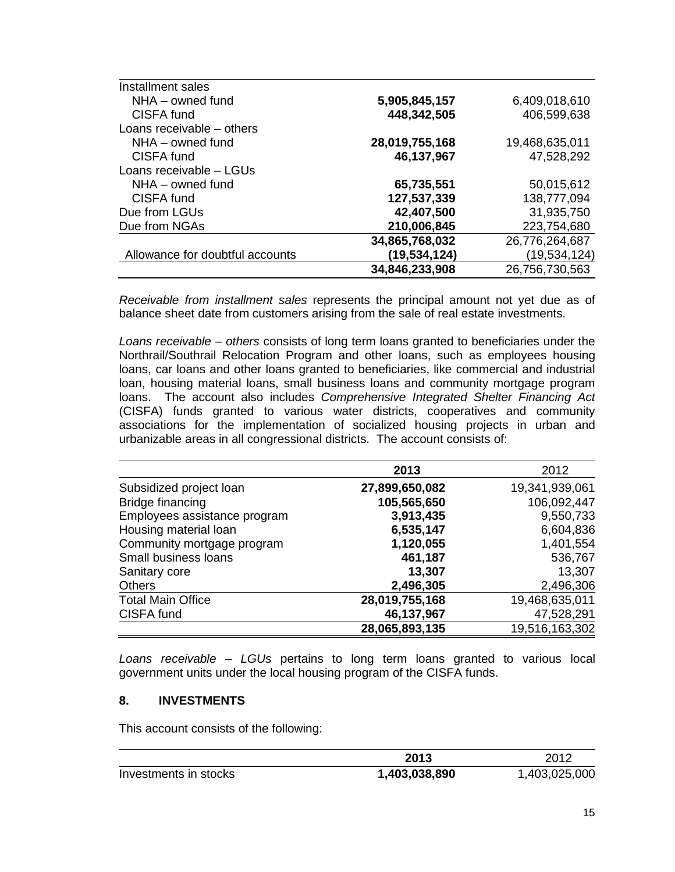| Installment sales               |                |                |
|---------------------------------|----------------|----------------|
| $NHA -$ owned fund              | 5,905,845,157  | 6,409,018,610  |
| CISFA fund                      | 448,342,505    | 406,599,638    |
| Loans receivable – others       |                |                |
| $NHA -$ owned fund              | 28,019,755,168 | 19,468,635,011 |
| CISFA fund                      | 46,137,967     | 47,528,292     |
| Loans receivable - LGUs         |                |                |
| $NHA -$ owned fund              | 65,735,551     | 50,015,612     |
| CISFA fund                      | 127,537,339    | 138,777,094    |
| Due from LGUs                   | 42,407,500     | 31,935,750     |
| Due from NGAs                   | 210,006,845    | 223,754,680    |
|                                 | 34,865,768,032 | 26,776,264,687 |
| Allowance for doubtful accounts | (19,534,124)   | (19,534,124)   |
|                                 | 34,846,233,908 | 26,756,730,563 |

*Receivable from installment sales* represents the principal amount not yet due as of balance sheet date from customers arising from the sale of real estate investments.

*Loans receivable – others* consists of long term loans granted to beneficiaries under the Northrail/Southrail Relocation Program and other loans, such as employees housing loans, car loans and other loans granted to beneficiaries, like commercial and industrial loan, housing material loans, small business loans and community mortgage program loans. The account also includes *Comprehensive Integrated Shelter Financing Act* (CISFA) funds granted to various water districts, cooperatives and community associations for the implementation of socialized housing projects in urban and urbanizable areas in all congressional districts. The account consists of:

|                              | 2013           | 2012           |
|------------------------------|----------------|----------------|
| Subsidized project loan      | 27,899,650,082 | 19,341,939,061 |
| Bridge financing             | 105,565,650    | 106,092,447    |
| Employees assistance program | 3,913,435      | 9,550,733      |
| Housing material loan        | 6,535,147      | 6,604,836      |
| Community mortgage program   | 1,120,055      | 1,401,554      |
| Small business loans         | 461,187        | 536,767        |
| Sanitary core                | 13,307         | 13,307         |
| <b>Others</b>                | 2,496,305      | 2,496,306      |
| <b>Total Main Office</b>     | 28,019,755,168 | 19,468,635,011 |
| CISFA fund                   | 46,137,967     | 47,528,291     |
|                              | 28,065,893,135 | 19,516,163,302 |

*Loans receivable – LGUs* pertains to long term loans granted to various local government units under the local housing program of the CISFA funds.

### **8. INVESTMENTS**

This account consists of the following:

|                       | 2013          | 2012          |
|-----------------------|---------------|---------------|
| Investments in stocks | 1,403,038,890 | 1,403,025,000 |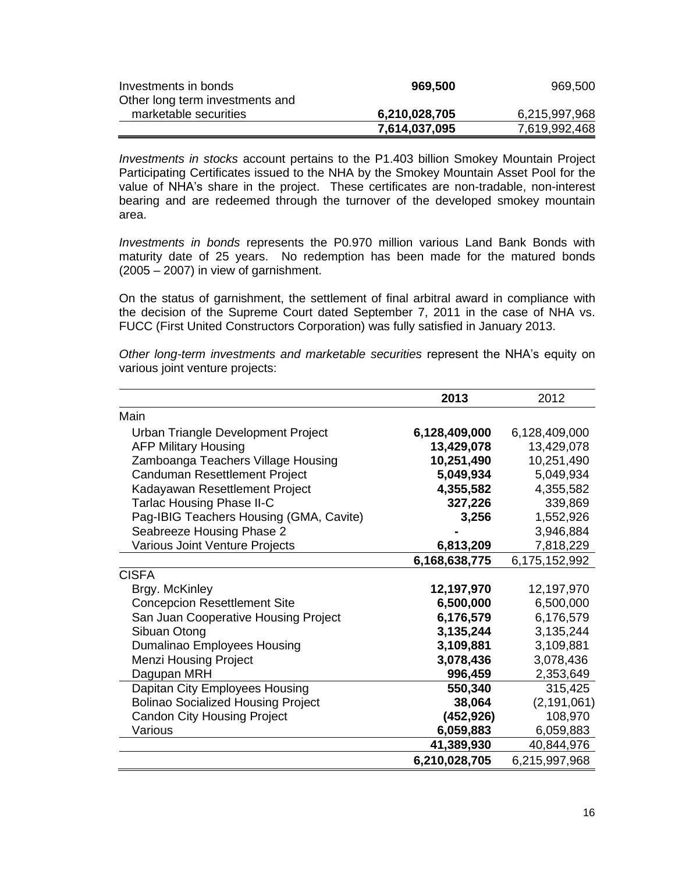| Investments in bonds            | 969,500       | 969,500       |
|---------------------------------|---------------|---------------|
| Other long term investments and |               |               |
| marketable securities           | 6,210,028,705 | 6,215,997,968 |
|                                 | 7,614,037,095 | 7,619,992,468 |

*Investments in stocks* account pertains to the P1.403 billion Smokey Mountain Project Participating Certificates issued to the NHA by the Smokey Mountain Asset Pool for the value of NHA's share in the project. These certificates are non-tradable, non-interest bearing and are redeemed through the turnover of the developed smokey mountain area.

*Investments in bonds* represents the P0.970 million various Land Bank Bonds with maturity date of 25 years. No redemption has been made for the matured bonds (2005 – 2007) in view of garnishment.

On the status of garnishment, the settlement of final arbitral award in compliance with the decision of the Supreme Court dated September 7, 2011 in the case of NHA vs. FUCC (First United Constructors Corporation) was fully satisfied in January 2013.

| 6,128,409,000 | 6,128,409,000           |
|---------------|-------------------------|
| 13,429,078    | 13,429,078              |
| 10,251,490    | 10,251,490              |
| 5,049,934     | 5,049,934               |
| 4,355,582     | 4,355,582               |
| 327,226       | 339,869                 |
| 3,256         | 1,552,926               |
|               | 3,946,884               |
| 6,813,209     | 7,818,229               |
| 6,168,638,775 | 6,175,152,992           |
|               |                         |
| 12,197,970    | 12,197,970              |
| 6,500,000     | 6,500,000               |
| 6,176,579     | 6,176,579               |
| 3,135,244     | 3,135,244               |
| 3,109,881     | 3,109,881               |
| 3,078,436     | 3,078,436               |
| 996,459       | 2,353,649               |
| 550,340       | 315,425                 |
| 38,064        | (2, 191, 061)           |
|               | 108,970                 |
|               | 6,059,883               |
| 41,389,930    | 40,844,976              |
| 6,210,028,705 | 6,215,997,968           |
|               | (452, 926)<br>6,059,883 |

*Other long-term investments and marketable securities* represent the NHA's equity on various joint venture projects:

**2013** 2012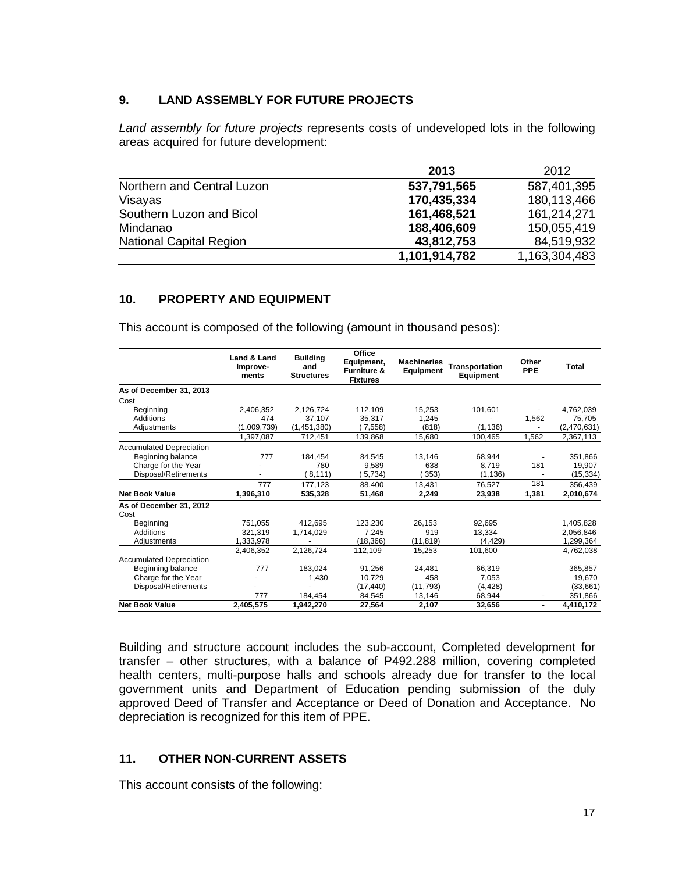# **9. LAND ASSEMBLY FOR FUTURE PROJECTS**

*Land assembly for future projects* represents costs of undeveloped lots in the following areas acquired for future development:

|                                | 2013          | 2012          |
|--------------------------------|---------------|---------------|
| Northern and Central Luzon     | 537,791,565   | 587,401,395   |
| Visayas                        | 170,435,334   | 180,113,466   |
| Southern Luzon and Bicol       | 161,468,521   | 161,214,271   |
| Mindanao                       | 188,406,609   | 150,055,419   |
| <b>National Capital Region</b> | 43,812,753    | 84,519,932    |
|                                | 1,101,914,782 | 1,163,304,483 |

## **10. PROPERTY AND EQUIPMENT**

This account is composed of the following (amount in thousand pesos):

|                                 | Land & Land<br>Improve-<br>ments | <b>Building</b><br>and<br><b>Structures</b> | Office<br>Equipment,<br><b>Furniture &amp;</b><br><b>Fixtures</b> | <b>Machineries</b><br><b>Equipment</b> | Transportation<br>Equipment | Other<br><b>PPE</b> | Total       |
|---------------------------------|----------------------------------|---------------------------------------------|-------------------------------------------------------------------|----------------------------------------|-----------------------------|---------------------|-------------|
| As of December 31, 2013         |                                  |                                             |                                                                   |                                        |                             |                     |             |
| Cost                            |                                  |                                             |                                                                   |                                        |                             |                     |             |
| Beginning                       | 2,406,352                        | 2,126,724                                   | 112,109                                                           | 15,253                                 | 101.601                     |                     | 4,762,039   |
| Additions                       | 474                              | 37.107                                      | 35.317                                                            | 1.245                                  |                             | 1.562               | 75.705      |
| Adjustments                     | (1,009,739)                      | (1,451,380)                                 | 7.558)                                                            | (818)                                  | (1.136)                     |                     | (2,470,631) |
|                                 | 1,397,087                        | 712,451                                     | 139,868                                                           | 15.680                                 | 100.465                     | 1.562               | 2,367,113   |
| <b>Accumulated Depreciation</b> |                                  |                                             |                                                                   |                                        |                             |                     |             |
| Beginning balance               | 777                              | 184.454                                     | 84.545                                                            | 13.146                                 | 68,944                      |                     | 351,866     |
| Charge for the Year             |                                  | 780                                         | 9,589                                                             | 638                                    | 8,719                       | 181                 | 19,907      |
| Disposal/Retirements            |                                  | 8,111)                                      | 5.734                                                             | 353)                                   | (1, 136)                    |                     | (15, 334)   |
|                                 | 777                              | 177.123                                     | 88.400                                                            | 13.431                                 | 76.527                      | 181                 | 356,439     |
| <b>Net Book Value</b>           | 1,396,310                        | 535,328                                     | 51,468                                                            | 2,249                                  | 23,938                      | 1,381               | 2,010,674   |
| As of December 31, 2012         |                                  |                                             |                                                                   |                                        |                             |                     |             |
| Cost                            |                                  |                                             |                                                                   |                                        |                             |                     |             |
| Beginning                       | 751,055                          | 412.695                                     | 123,230                                                           | 26,153                                 | 92.695                      |                     | 1,405,828   |
| Additions                       | 321,319                          | 1,714,029                                   | 7.245                                                             | 919                                    | 13.334                      |                     | 2,056,846   |
| Adjustments                     | 1,333,978                        |                                             | (18, 366)                                                         | (11, 819)                              | (4.429)                     |                     | 1,299,364   |
|                                 | 2,406,352                        | 2,126,724                                   | 112,109                                                           | 15,253                                 | 101,600                     |                     | 4,762,038   |
| <b>Accumulated Depreciation</b> |                                  |                                             |                                                                   |                                        |                             |                     |             |
| Beginning balance               | 777                              | 183.024                                     | 91.256                                                            | 24.481                                 | 66,319                      |                     | 365,857     |
| Charge for the Year             |                                  | 1,430                                       | 10,729                                                            | 458                                    | 7,053                       |                     | 19,670      |
| Disposal/Retirements            |                                  |                                             | (17, 440)                                                         | (11.793)                               | (4, 428)                    |                     | (33,661)    |
|                                 | 777                              | 184,454                                     | 84,545                                                            | 13,146                                 | 68,944                      | $\blacksquare$      | 351,866     |
| <b>Net Book Value</b>           | 2,405,575                        | 1,942,270                                   | 27,564                                                            | 2,107                                  | 32,656                      | -                   | 4,410,172   |

Building and structure account includes the sub-account, Completed development for transfer – other structures, with a balance of P492.288 million, covering completed health centers, multi-purpose halls and schools already due for transfer to the local government units and Department of Education pending submission of the duly approved Deed of Transfer and Acceptance or Deed of Donation and Acceptance. No depreciation is recognized for this item of PPE.

### **11. OTHER NON-CURRENT ASSETS**

This account consists of the following: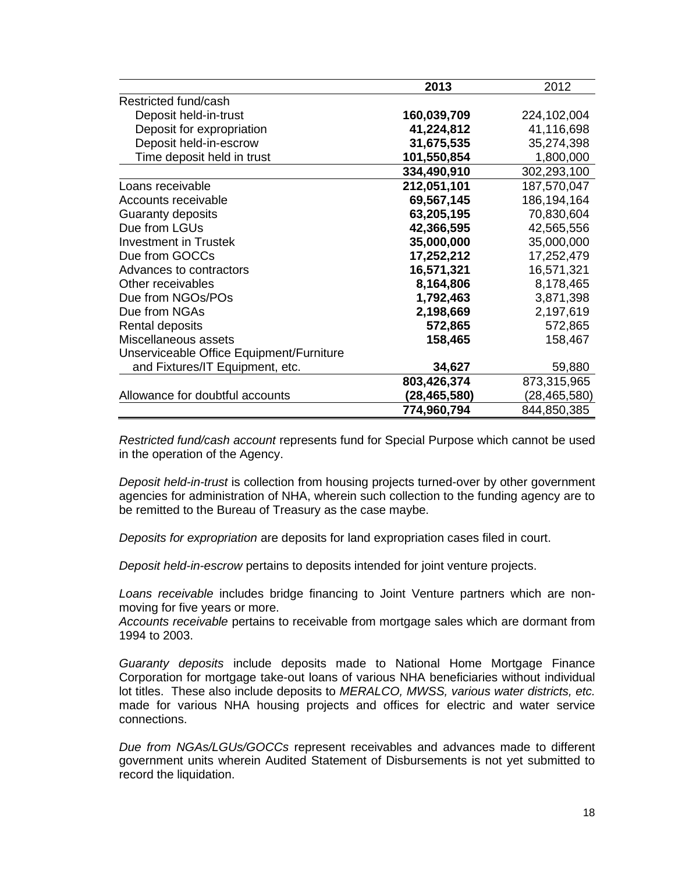|                                          | 2013         | 2012           |
|------------------------------------------|--------------|----------------|
| Restricted fund/cash                     |              |                |
| Deposit held-in-trust                    | 160,039,709  | 224,102,004    |
| Deposit for expropriation                | 41,224,812   | 41,116,698     |
| Deposit held-in-escrow                   | 31,675,535   | 35,274,398     |
| Time deposit held in trust               | 101,550,854  | 1,800,000      |
|                                          | 334,490,910  | 302,293,100    |
| Loans receivable                         | 212,051,101  | 187,570,047    |
| Accounts receivable                      | 69,567,145   | 186,194,164    |
| Guaranty deposits                        | 63,205,195   | 70,830,604     |
| Due from LGUs                            | 42,366,595   | 42,565,556     |
| <b>Investment in Trustek</b>             | 35,000,000   | 35,000,000     |
| Due from GOCCs                           | 17,252,212   | 17,252,479     |
| Advances to contractors                  | 16,571,321   | 16,571,321     |
| Other receivables                        | 8,164,806    | 8,178,465      |
| Due from NGOs/POs                        | 1,792,463    | 3,871,398      |
| Due from NGAs                            | 2,198,669    | 2,197,619      |
| Rental deposits                          | 572,865      | 572,865        |
| Miscellaneous assets                     | 158,465      | 158,467        |
| Unserviceable Office Equipment/Furniture |              |                |
| and Fixtures/IT Equipment, etc.          | 34,627       | 59,880         |
|                                          | 803,426,374  | 873,315,965    |
| Allowance for doubtful accounts          | (28,465,580) | (28, 465, 580) |
|                                          | 774,960,794  | 844,850,385    |

*Restricted fund/cash account* represents fund for Special Purpose which cannot be used in the operation of the Agency.

*Deposit held-in-trust* is collection from housing projects turned-over by other government agencies for administration of NHA, wherein such collection to the funding agency are to be remitted to the Bureau of Treasury as the case maybe.

*Deposits for expropriation* are deposits for land expropriation cases filed in court.

*Deposit held-in-escrow* pertains to deposits intended for joint venture projects.

*Loans receivable* includes bridge financing to Joint Venture partners which are nonmoving for five years or more.

*Accounts receivable* pertains to receivable from mortgage sales which are dormant from 1994 to 2003.

*Guaranty deposits* include deposits made to National Home Mortgage Finance Corporation for mortgage take-out loans of various NHA beneficiaries without individual lot titles. These also include deposits to *MERALCO, MWSS, various water districts, etc.* made for various NHA housing projects and offices for electric and water service connections.

*Due from NGAs/LGUs/GOCCs* represent receivables and advances made to different government units wherein Audited Statement of Disbursements is not yet submitted to record the liquidation.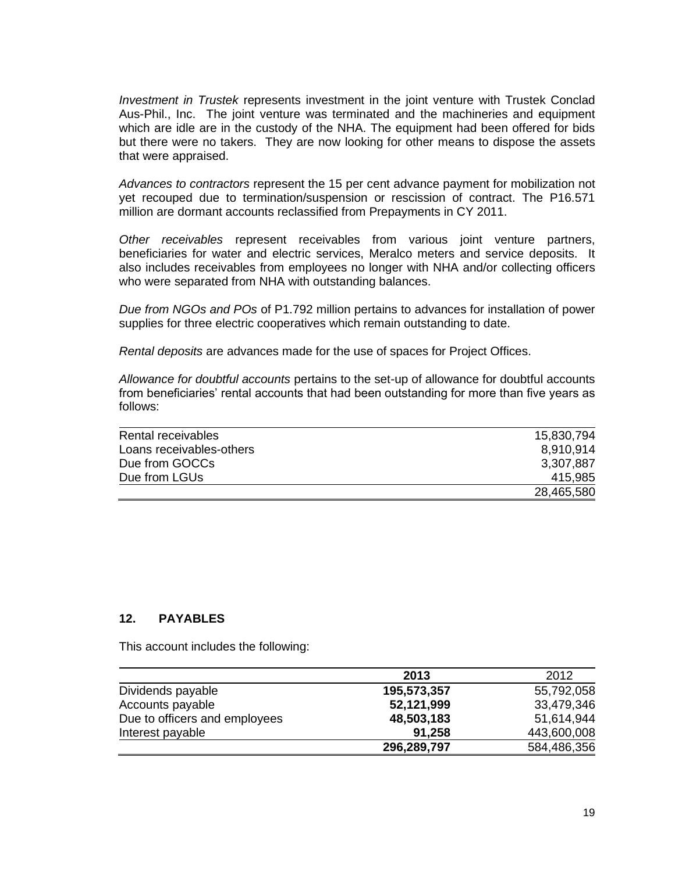*Investment in Trustek* represents investment in the joint venture with Trustek Conclad Aus-Phil., Inc. The joint venture was terminated and the machineries and equipment which are idle are in the custody of the NHA. The equipment had been offered for bids but there were no takers. They are now looking for other means to dispose the assets that were appraised.

*Advances to contractors* represent the 15 per cent advance payment for mobilization not yet recouped due to termination/suspension or rescission of contract. The P16.571 million are dormant accounts reclassified from Prepayments in CY 2011.

*Other receivables* represent receivables from various joint venture partners, beneficiaries for water and electric services, Meralco meters and service deposits. It also includes receivables from employees no longer with NHA and/or collecting officers who were separated from NHA with outstanding balances.

*Due from NGOs and POs* of P1.792 million pertains to advances for installation of power supplies for three electric cooperatives which remain outstanding to date.

*Rental deposits* are advances made for the use of spaces for Project Offices.

*Allowance for doubtful accounts* pertains to the set-up of allowance for doubtful accounts from beneficiaries' rental accounts that had been outstanding for more than five years as follows:

| Rental receivables       | 15,830,794 |
|--------------------------|------------|
| Loans receivables-others | 8.910.914  |
| Due from GOCCs           | 3,307,887  |
| Due from LGUs            | 415.985    |
|                          | 28,465,580 |

### **12. PAYABLES**

This account includes the following:

|                               | 2013        | 2012        |
|-------------------------------|-------------|-------------|
| Dividends payable             | 195,573,357 | 55,792,058  |
| Accounts payable              | 52,121,999  | 33,479,346  |
| Due to officers and employees | 48,503,183  | 51,614,944  |
| Interest payable              | 91,258      | 443,600,008 |
|                               | 296,289,797 | 584,486,356 |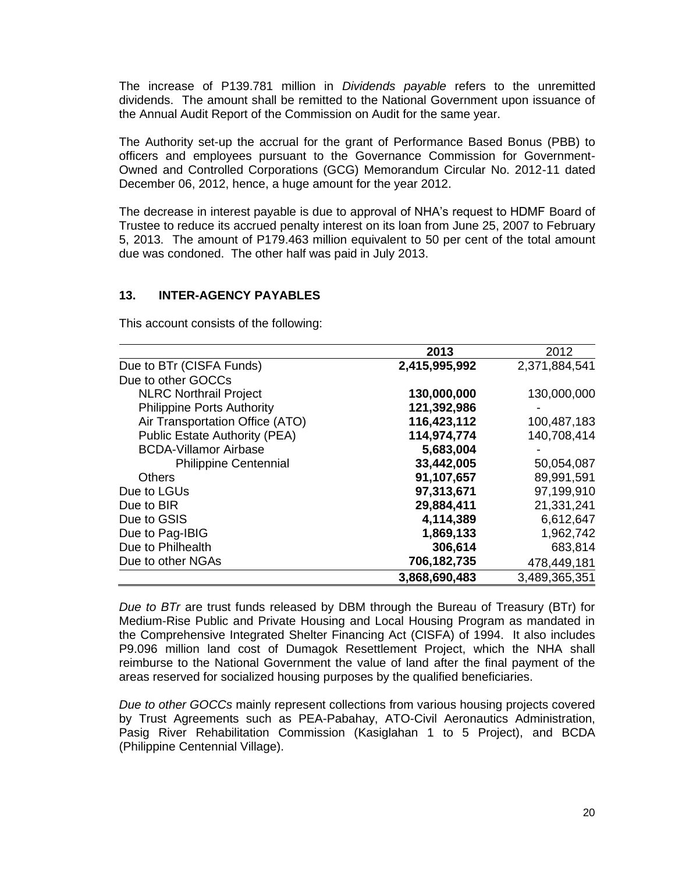The increase of P139.781 million in *Dividends payable* refers to the unremitted dividends. The amount shall be remitted to the National Government upon issuance of the Annual Audit Report of the Commission on Audit for the same year.

The Authority set-up the accrual for the grant of Performance Based Bonus (PBB) to officers and employees pursuant to the Governance Commission for Government-Owned and Controlled Corporations (GCG) Memorandum Circular No. 2012-11 dated December 06, 2012, hence, a huge amount for the year 2012.

The decrease in interest payable is due to approval of NHA's request to HDMF Board of Trustee to reduce its accrued penalty interest on its loan from June 25, 2007 to February 5, 2013. The amount of P179.463 million equivalent to 50 per cent of the total amount due was condoned. The other half was paid in July 2013.

#### **13. INTER-AGENCY PAYABLES**

This account consists of the following:

|                                      | 2013          | 2012          |
|--------------------------------------|---------------|---------------|
| Due to BTr (CISFA Funds)             | 2,415,995,992 | 2,371,884,541 |
| Due to other GOCCs                   |               |               |
| <b>NLRC Northrail Project</b>        | 130,000,000   | 130,000,000   |
| <b>Philippine Ports Authority</b>    | 121,392,986   |               |
| Air Transportation Office (ATO)      | 116,423,112   | 100,487,183   |
| <b>Public Estate Authority (PEA)</b> | 114,974,774   | 140,708,414   |
| <b>BCDA-Villamor Airbase</b>         | 5,683,004     |               |
| <b>Philippine Centennial</b>         | 33,442,005    | 50,054,087    |
| <b>Others</b>                        | 91,107,657    | 89,991,591    |
| Due to LGUs                          | 97,313,671    | 97,199,910    |
| Due to BIR                           | 29,884,411    | 21,331,241    |
| Due to GSIS                          | 4,114,389     | 6,612,647     |
| Due to Pag-IBIG                      | 1,869,133     | 1,962,742     |
| Due to Philhealth                    | 306,614       | 683,814       |
| Due to other NGAs                    | 706,182,735   | 478,449,181   |
|                                      | 3,868,690,483 | 3,489,365,351 |

*Due to BTr* are trust funds released by DBM through the Bureau of Treasury (BTr) for Medium-Rise Public and Private Housing and Local Housing Program as mandated in the Comprehensive Integrated Shelter Financing Act (CISFA) of 1994. It also includes P9.096 million land cost of Dumagok Resettlement Project, which the NHA shall reimburse to the National Government the value of land after the final payment of the areas reserved for socialized housing purposes by the qualified beneficiaries.

*Due to other GOCCs* mainly represent collections from various housing projects covered by Trust Agreements such as PEA-Pabahay, ATO-Civil Aeronautics Administration, Pasig River Rehabilitation Commission (Kasiglahan 1 to 5 Project), and BCDA (Philippine Centennial Village).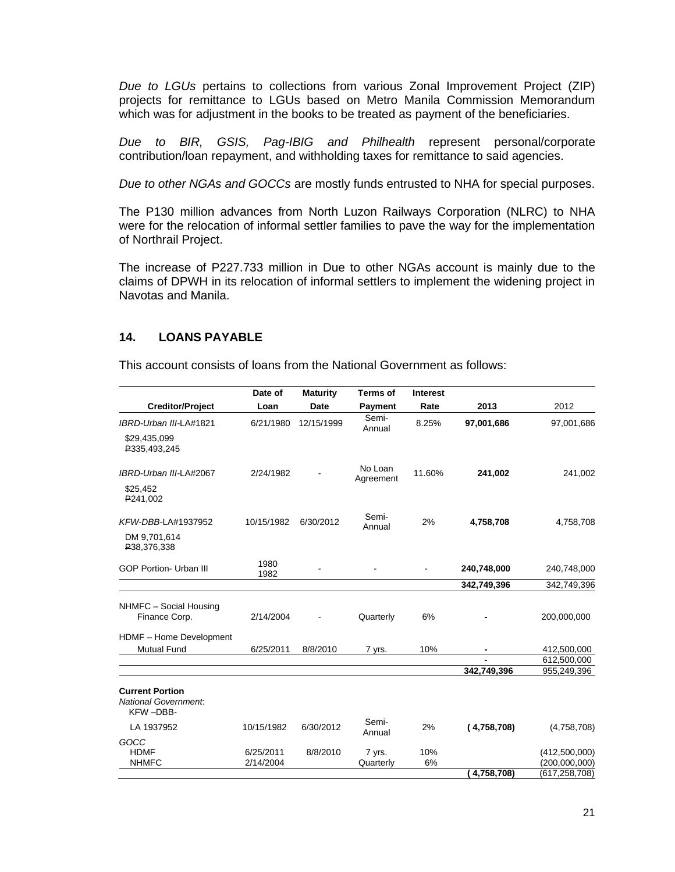*Due to LGUs* pertains to collections from various Zonal Improvement Project (ZIP) projects for remittance to LGUs based on Metro Manila Commission Memorandum which was for adjustment in the books to be treated as payment of the beneficiaries.

*Due to BIR, GSIS, Pag-IBIG and Philhealth* represent personal/corporate contribution/loan repayment, and withholding taxes for remittance to said agencies.

*Due to other NGAs and GOCCs* are mostly funds entrusted to NHA for special purposes.

The P130 million advances from North Luzon Railways Corporation (NLRC) to NHA were for the relocation of informal settler families to pave the way for the implementation of Northrail Project.

The increase of P227.733 million in Due to other NGAs account is mainly due to the claims of DPWH in its relocation of informal settlers to implement the widening project in Navotas and Manila.

### **14. LOANS PAYABLE**

This account consists of loans from the National Government as follows:

|                                                                   | Date of      | <b>Maturity</b> | <b>Terms of</b>      | <b>Interest</b> |             |                 |
|-------------------------------------------------------------------|--------------|-----------------|----------------------|-----------------|-------------|-----------------|
| <b>Creditor/Project</b>                                           | Loan         | Date            | Payment              | Rate            | 2013        | 2012            |
| IBRD-Urban III-LA#1821                                            | 6/21/1980    | 12/15/1999      | Semi-<br>Annual      | 8.25%           | 97,001,686  | 97,001,686      |
| \$29,435,099<br>P335,493,245                                      |              |                 |                      |                 |             |                 |
| IBRD-Urban III-LA#2067                                            | 2/24/1982    |                 | No Loan<br>Agreement | 11.60%          | 241,002     | 241,002         |
| \$25,452<br>P241,002                                              |              |                 |                      |                 |             |                 |
| KFW-DBB-LA#1937952                                                | 10/15/1982   | 6/30/2012       | Semi-<br>Annual      | 2%              | 4,758,708   | 4,758,708       |
| DM 9,701,614<br>P38,376,338                                       |              |                 |                      |                 |             |                 |
| <b>GOP Portion- Urban III</b>                                     | 1980<br>1982 |                 |                      |                 | 240,748,000 | 240,748,000     |
|                                                                   |              |                 |                      |                 | 342,749,396 | 342,749,396     |
| NHMFC - Social Housing<br>Finance Corp.                           | 2/14/2004    |                 | Quarterly            | 6%              |             | 200,000,000     |
| HDMF - Home Development                                           |              |                 |                      |                 |             |                 |
| <b>Mutual Fund</b>                                                | 6/25/2011    | 8/8/2010        | 7 yrs.               | 10%             | ٠           | 412,500,000     |
|                                                                   |              |                 |                      |                 |             | 612,500,000     |
|                                                                   |              |                 |                      |                 | 342,749,396 | 955,249,396     |
| <b>Current Portion</b><br><b>National Government.</b><br>KFW-DBB- |              |                 |                      |                 |             |                 |
| LA 1937952                                                        | 10/15/1982   | 6/30/2012       | Semi-<br>Annual      | 2%              | (4,758,708) | (4,758,708)     |
| GOCC                                                              |              |                 |                      |                 |             |                 |
| <b>HDMF</b>                                                       | 6/25/2011    | 8/8/2010        | 7 yrs.               | 10%             |             | (412,500,000)   |
| <b>NHMFC</b>                                                      | 2/14/2004    |                 | Quarterly            | 6%              |             | (200,000,000)   |
|                                                                   |              |                 |                      |                 | 4,758,708)  | (617, 258, 708) |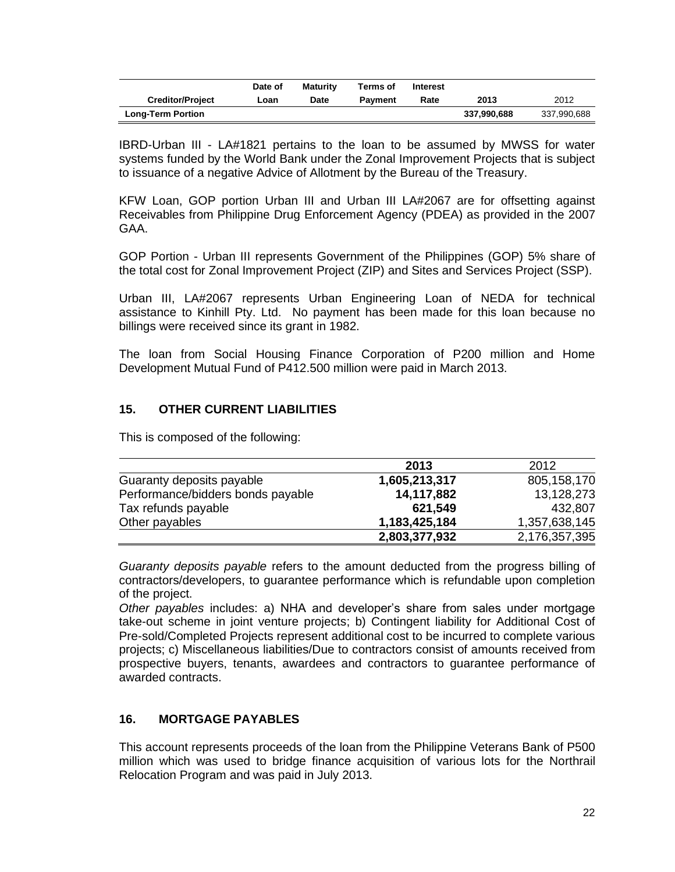|                          | Date of | <b>Maturity</b> | Terms of       | Interest |             |             |
|--------------------------|---------|-----------------|----------------|----------|-------------|-------------|
| <b>Creditor/Project</b>  | Loan    | Date            | <b>Payment</b> | Rate     | 2013        | 2012        |
| <b>Long-Term Portion</b> |         |                 |                |          | 337,990,688 | 337,990,688 |

IBRD-Urban III - LA#1821 pertains to the loan to be assumed by MWSS for water systems funded by the World Bank under the Zonal Improvement Projects that is subject to issuance of a negative Advice of Allotment by the Bureau of the Treasury.

KFW Loan, GOP portion Urban III and Urban III LA#2067 are for offsetting against Receivables from Philippine Drug Enforcement Agency (PDEA) as provided in the 2007 GAA.

GOP Portion - Urban III represents Government of the Philippines (GOP) 5% share of the total cost for Zonal Improvement Project (ZIP) and Sites and Services Project (SSP).

Urban III, LA#2067 represents Urban Engineering Loan of NEDA for technical assistance to Kinhill Pty. Ltd. No payment has been made for this loan because no billings were received since its grant in 1982.

The loan from Social Housing Finance Corporation of P200 million and Home Development Mutual Fund of P412.500 million were paid in March 2013.

# **15. OTHER CURRENT LIABILITIES**

This is composed of the following:

|                                   | 2013          | 2012          |
|-----------------------------------|---------------|---------------|
| Guaranty deposits payable         | 1,605,213,317 | 805,158,170   |
| Performance/bidders bonds payable | 14,117,882    | 13,128,273    |
| Tax refunds payable               | 621,549       | 432.807       |
| Other payables                    | 1,183,425,184 | 1,357,638,145 |
|                                   | 2,803,377,932 | 2,176,357,395 |

*Guaranty deposits payable* refers to the amount deducted from the progress billing of contractors/developers, to guarantee performance which is refundable upon completion of the project.

*Other payables* includes: a) NHA and developer's share from sales under mortgage take-out scheme in joint venture projects; b) Contingent liability for Additional Cost of Pre-sold/Completed Projects represent additional cost to be incurred to complete various projects; c) Miscellaneous liabilities/Due to contractors consist of amounts received from prospective buyers, tenants, awardees and contractors to guarantee performance of awarded contracts.

### **16. MORTGAGE PAYABLES**

This account represents proceeds of the loan from the Philippine Veterans Bank of P500 million which was used to bridge finance acquisition of various lots for the Northrail Relocation Program and was paid in July 2013.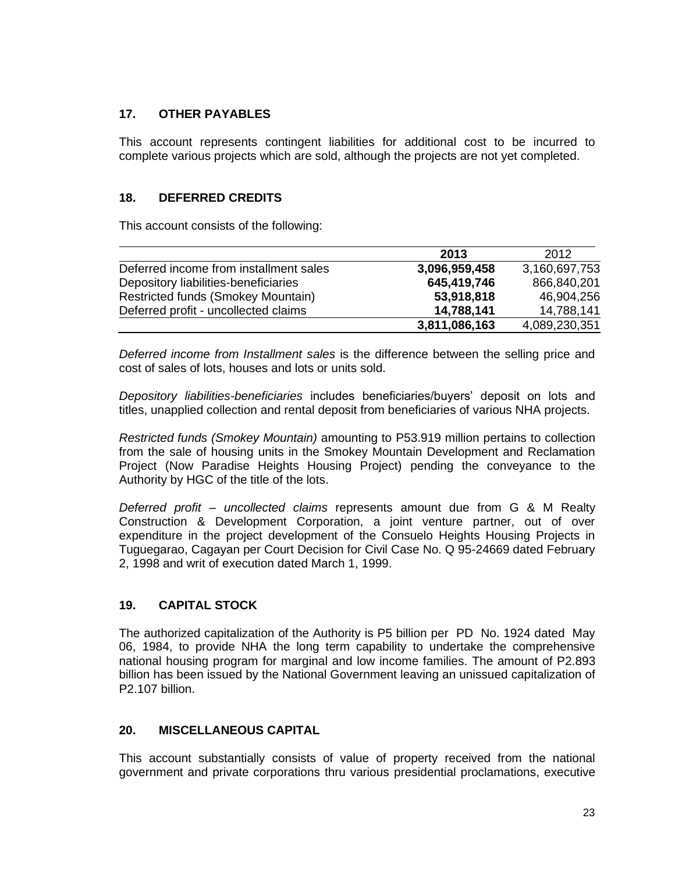# **17. OTHER PAYABLES**

This account represents contingent liabilities for additional cost to be incurred to complete various projects which are sold, although the projects are not yet completed.

## **18. DEFERRED CREDITS**

This account consists of the following:

|                                        | 2013          | 2012          |
|----------------------------------------|---------------|---------------|
| Deferred income from installment sales | 3,096,959,458 | 3,160,697,753 |
| Depository liabilities-beneficiaries   | 645,419,746   | 866,840,201   |
| Restricted funds (Smokey Mountain)     | 53,918,818    | 46,904,256    |
| Deferred profit - uncollected claims   | 14,788,141    | 14,788,141    |
|                                        | 3,811,086,163 | 4,089,230,351 |

*Deferred income from Installment sales* is the difference between the selling price and cost of sales of lots, houses and lots or units sold.

*Depository liabilities-beneficiaries* includes beneficiaries/buyers' deposit on lots and titles, unapplied collection and rental deposit from beneficiaries of various NHA projects.

*Restricted funds (Smokey Mountain)* amounting to P53.919 million pertains to collection from the sale of housing units in the Smokey Mountain Development and Reclamation Project (Now Paradise Heights Housing Project) pending the conveyance to the Authority by HGC of the title of the lots.

*Deferred profit – uncollected claims* represents amount due from G & M Realty Construction & Development Corporation, a joint venture partner, out of over expenditure in the project development of the Consuelo Heights Housing Projects in Tuguegarao, Cagayan per Court Decision for Civil Case No. Q 95-24669 dated February 2, 1998 and writ of execution dated March 1, 1999.

# **19. CAPITAL STOCK**

The authorized capitalization of the Authority is P5 billion per PD No. 1924 dated May 06, 1984, to provide NHA the long term capability to undertake the comprehensive national housing program for marginal and low income families. The amount of P2.893 billion has been issued by the National Government leaving an unissued capitalization of P2.107 billion.

### **20. MISCELLANEOUS CAPITAL**

This account substantially consists of value of property received from the national government and private corporations thru various presidential proclamations, executive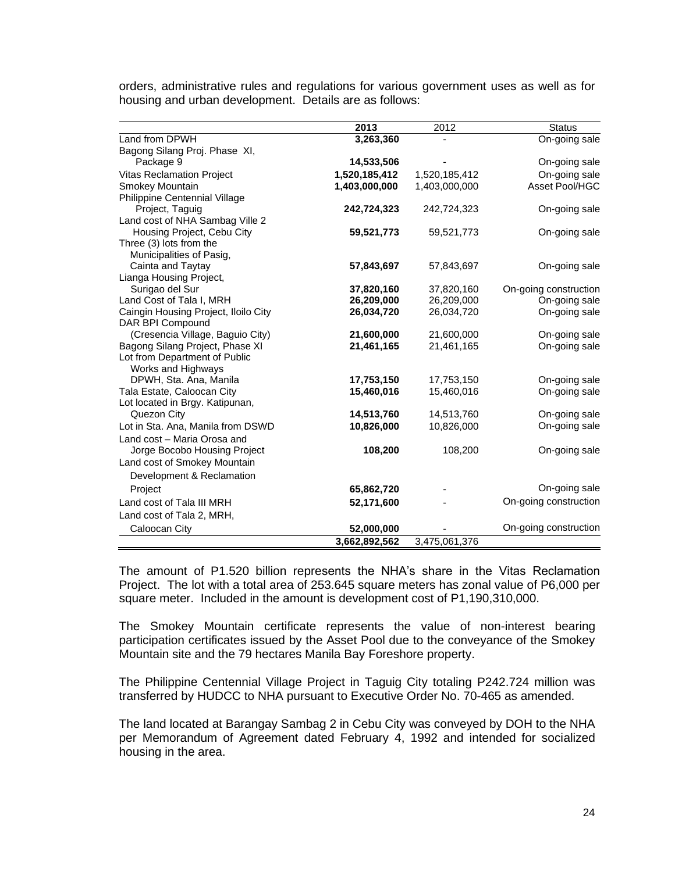|                                      | 2013          | 2012          | <b>Status</b>         |
|--------------------------------------|---------------|---------------|-----------------------|
| Land from DPWH                       | 3,263,360     |               | On-going sale         |
| Bagong Silang Proj. Phase XI,        |               |               |                       |
| Package 9                            | 14,533,506    |               | On-going sale         |
| <b>Vitas Reclamation Project</b>     | 1,520,185,412 | 1,520,185,412 | On-going sale         |
| Smokey Mountain                      | 1,403,000,000 | 1,403,000,000 | Asset Pool/HGC        |
| Philippine Centennial Village        |               |               |                       |
| Project, Taguig                      | 242,724,323   | 242,724,323   | On-going sale         |
| Land cost of NHA Sambag Ville 2      |               |               |                       |
| Housing Project, Cebu City           | 59,521,773    | 59,521,773    | On-going sale         |
| Three (3) lots from the              |               |               |                       |
| Municipalities of Pasig,             |               |               |                       |
| Cainta and Taytay                    | 57,843,697    | 57,843,697    | On-going sale         |
| Lianga Housing Project,              |               |               |                       |
| Surigao del Sur                      | 37,820,160    | 37,820,160    | On-going construction |
| Land Cost of Tala I, MRH             | 26,209,000    | 26,209,000    | On-going sale         |
| Caingin Housing Project, Iloilo City | 26,034,720    | 26,034,720    | On-going sale         |
| DAR BPI Compound                     |               |               |                       |
| (Cresencia Village, Baguio City)     | 21,600,000    | 21,600,000    | On-going sale         |
| Bagong Silang Project, Phase XI      | 21,461,165    | 21,461,165    | On-going sale         |
| Lot from Department of Public        |               |               |                       |
| Works and Highways                   |               |               |                       |
| DPWH, Sta. Ana, Manila               | 17,753,150    | 17,753,150    | On-going sale         |
| Tala Estate, Caloocan City           | 15,460,016    | 15,460,016    | On-going sale         |
| Lot located in Brgy. Katipunan,      |               |               |                       |
| Quezon City                          | 14,513,760    | 14,513,760    | On-going sale         |
| Lot in Sta. Ana, Manila from DSWD    | 10,826,000    | 10,826,000    | On-going sale         |
| Land cost - Maria Orosa and          |               |               |                       |
| Jorge Bocobo Housing Project         | 108,200       | 108,200       | On-going sale         |
| Land cost of Smokey Mountain         |               |               |                       |
| Development & Reclamation            |               |               |                       |
| Project                              | 65,862,720    |               | On-going sale         |
| Land cost of Tala III MRH            | 52,171,600    |               | On-going construction |
| Land cost of Tala 2, MRH,            |               |               |                       |
| Caloocan City                        | 52,000,000    |               | On-going construction |
|                                      | 3,662,892,562 | 3,475,061,376 |                       |

orders, administrative rules and regulations for various government uses as well as for housing and urban development. Details are as follows:

The amount of P1.520 billion represents the NHA's share in the Vitas Reclamation Project. The lot with a total area of 253.645 square meters has zonal value of P6,000 per square meter. Included in the amount is development cost of P1,190,310,000.

The Smokey Mountain certificate represents the value of non-interest bearing participation certificates issued by the Asset Pool due to the conveyance of the Smokey Mountain site and the 79 hectares Manila Bay Foreshore property.

The Philippine Centennial Village Project in Taguig City totaling P242.724 million was transferred by HUDCC to NHA pursuant to Executive Order No. 70-465 as amended.

The land located at Barangay Sambag 2 in Cebu City was conveyed by DOH to the NHA per Memorandum of Agreement dated February 4, 1992 and intended for socialized housing in the area.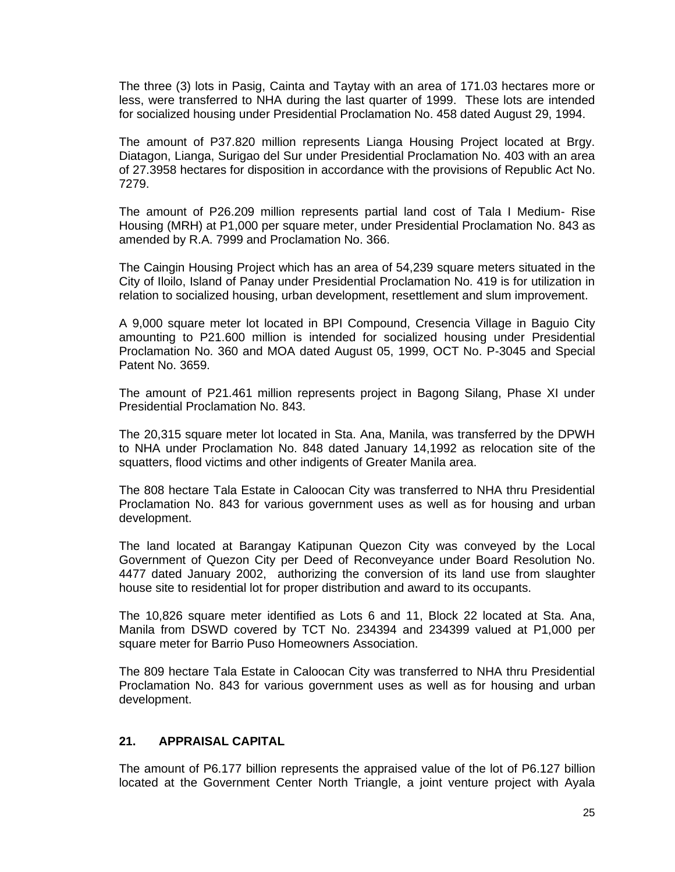The three (3) lots in Pasig, Cainta and Taytay with an area of 171.03 hectares more or less, were transferred to NHA during the last quarter of 1999. These lots are intended for socialized housing under Presidential Proclamation No. 458 dated August 29, 1994.

The amount of P37.820 million represents Lianga Housing Project located at Brgy. Diatagon, Lianga, Surigao del Sur under Presidential Proclamation No. 403 with an area of 27.3958 hectares for disposition in accordance with the provisions of Republic Act No. 7279.

The amount of P26.209 million represents partial land cost of Tala I Medium- Rise Housing (MRH) at P1,000 per square meter, under Presidential Proclamation No. 843 as amended by R.A. 7999 and Proclamation No. 366.

The Caingin Housing Project which has an area of 54,239 square meters situated in the City of Iloilo, Island of Panay under Presidential Proclamation No. 419 is for utilization in relation to socialized housing, urban development, resettlement and slum improvement.

A 9,000 square meter lot located in BPI Compound, Cresencia Village in Baguio City amounting to P21.600 million is intended for socialized housing under Presidential Proclamation No. 360 and MOA dated August 05, 1999, OCT No. P-3045 and Special Patent No. 3659.

The amount of P21.461 million represents project in Bagong Silang, Phase XI under Presidential Proclamation No. 843.

The 20,315 square meter lot located in Sta. Ana, Manila, was transferred by the DPWH to NHA under Proclamation No. 848 dated January 14,1992 as relocation site of the squatters, flood victims and other indigents of Greater Manila area.

The 808 hectare Tala Estate in Caloocan City was transferred to NHA thru Presidential Proclamation No. 843 for various government uses as well as for housing and urban development.

The land located at Barangay Katipunan Quezon City was conveyed by the Local Government of Quezon City per Deed of Reconveyance under Board Resolution No. 4477 dated January 2002, authorizing the conversion of its land use from slaughter house site to residential lot for proper distribution and award to its occupants.

The 10,826 square meter identified as Lots 6 and 11, Block 22 located at Sta. Ana, Manila from DSWD covered by TCT No. 234394 and 234399 valued at P1,000 per square meter for Barrio Puso Homeowners Association.

The 809 hectare Tala Estate in Caloocan City was transferred to NHA thru Presidential Proclamation No. 843 for various government uses as well as for housing and urban development.

### **21. APPRAISAL CAPITAL**

The amount of P6.177 billion represents the appraised value of the lot of P6.127 billion located at the Government Center North Triangle, a joint venture project with Ayala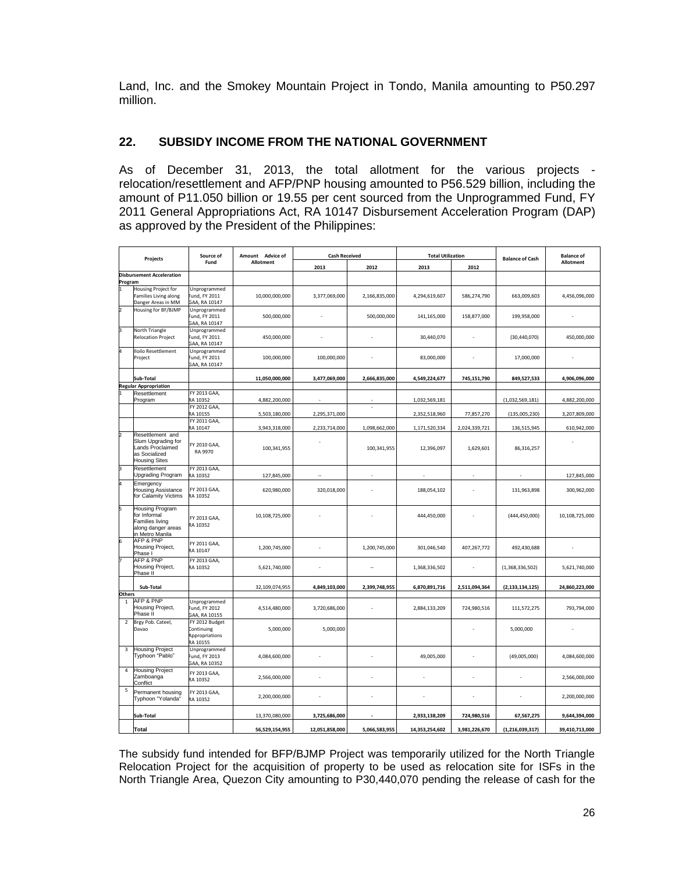Land, Inc. and the Smokey Mountain Project in Tondo, Manila amounting to P50.297 million.

# **22. SUBSIDY INCOME FROM THE NATIONAL GOVERNMENT**

As of December 31, 2013, the total allotment for the various projects relocation/resettlement and AFP/PNP housing amounted to P56.529 billion, including the amount of P11.050 billion or 19.55 per cent sourced from the Unprogrammed Fund, FY 2011 General Appropriations Act, RA 10147 Disbursement Acceleration Program (DAP) as approved by the President of the Philippines:

| Projects       |                                                                                                    | Source of<br>Fund                                         | Amount Advice of<br><b>Allotment</b> | <b>Cash Received</b> |               | <b>Total Utilization</b> |               | <b>Balance of Cash</b> | <b>Balance of</b><br>Allotment |
|----------------|----------------------------------------------------------------------------------------------------|-----------------------------------------------------------|--------------------------------------|----------------------|---------------|--------------------------|---------------|------------------------|--------------------------------|
|                |                                                                                                    |                                                           |                                      | 2013                 | 2012          | 2013                     | 2012          |                        |                                |
| Program        | <b>Disbursement Acceleration</b>                                                                   |                                                           |                                      |                      |               |                          |               |                        |                                |
|                | Housing Project for<br>Families Living along<br>Danger Areas in MM                                 | Unprogrammed<br>Fund, FY 2011<br>GAA, RA 10147            | 10,000,000,000                       | 3,377,069,000        | 2,166,835,000 | 4,294,619,607            | 586,274,790   | 663,009,603            | 4,456,096,000                  |
|                | Housing for BF/BJMP                                                                                | Unprogrammed<br>Fund, FY 2011<br>GAA, RA 10147            | 500,000,000                          | ä,                   | 500,000,000   | 141,165,000              | 158,877,000   | 199,958,000            | ÷.                             |
| k              | North Triangle<br><b>Relocation Project</b>                                                        | Unprogrammed<br>Fund, FY 2011<br>GAA, RA 10147            | 450,000,000                          |                      |               | 30,440,070               |               | (30, 440, 070)         | 450,000,000                    |
|                | loilo Resettlement<br>Project                                                                      | Unprogrammed<br>und, FY 2011<br>GAA, RA 10147             | 100,000,000                          | 100,000,000          |               | 83,000,000               |               | 17,000,000             |                                |
|                | Sub-Total                                                                                          |                                                           | 11,050,000,000                       | 3,477,069,000        | 2,666,835,000 | 4,549,224,677            | 745,151,790   | 849,527,533            | 4,906,096,000                  |
|                | <b>Regular Appropriation</b>                                                                       |                                                           |                                      |                      |               |                          |               |                        |                                |
|                | Resettlement<br>Program                                                                            | FY 2013 GAA,<br><b>A 10352</b><br>FY 2012 GAA,            | 4,882,200,000                        |                      |               | 1,032,569,181            |               | (1,032,569,181)        | 4,882,200,000                  |
|                |                                                                                                    | A 10155                                                   | 5,503,180,000                        | 2,295,371,000        |               | 2,352,518,960            | 77,857,270    | (135,005,230)          | 3,207,809,000                  |
|                |                                                                                                    | FY 2011 GAA,                                              |                                      |                      |               |                          |               |                        |                                |
|                |                                                                                                    | RA 10147                                                  | 3,943,318,000                        | 2,233,714,000        | 1,098,662,000 | 1,171,520,334            | 2,024,339,721 | 136,515,945            | 610,942,000                    |
|                | Resettlement and<br>Slum Upgrading for<br>ands Proclaimed<br>as Socialized<br><b>Housing Sites</b> | FY 2010 GAA,<br>RA 9970                                   | 100,341,955                          |                      | 100,341,955   | 12,396,097               | 1,629,601     | 86,316,257             |                                |
|                | Resettlement<br>Jpgrading Program                                                                  | FY 2013 GAA,<br>RA 10352                                  | 127,845,000                          |                      |               |                          |               |                        | 127,845,000                    |
|                | Emergency<br><b>Housing Assistance</b><br>for Calamity Victims                                     | FY 2013 GAA,<br>RA 10352                                  | 620,980,000                          | 320,018,000          |               | 188,054,102              |               | 131,963,898            | 300,962,000                    |
|                | lousing Program<br>for Informal<br>Families living<br>along danger areas<br>in Metro Manila        | FY 2013 GAA,<br>RA 10352                                  | 10,108,725,000                       |                      |               | 444,450,000              |               | (444, 450, 000)        | 10,108,725,000                 |
|                | <b>AFP &amp; PNP</b><br>Housing Project,<br>Phase I                                                | FY 2011 GAA,<br>RA 10147                                  | 1,200,745,000                        |                      | 1,200,745,000 | 301,046,540              | 407,267,772   | 492,430,688            |                                |
|                | <b>AFP &amp; PNP</b><br>Housing Project,<br>Phase II                                               | FY 2013 GAA,<br>RA 10352                                  | 5,621,740,000                        |                      | ÷.            | 1,368,336,502            |               | (1,368,336,502)        | 5,621,740,000                  |
|                | Sub-Total                                                                                          |                                                           | 32,109,074,955                       | 4,849,103,000        | 2,399,748,955 | 6,870,891,716            | 2,511,094,364 | (2, 133, 134, 125)     | 24,860,223,000                 |
| Others         |                                                                                                    |                                                           |                                      |                      |               |                          |               |                        |                                |
| $\mathbf 1$    | <b>AFP &amp; PNP</b><br>Housing Project,<br>Phase II                                               | Unprogrammed<br>Fund, FY 2012<br>GAA, RA 10155            | 4,514,480,000                        | 3,720,686,000        | ÷,            | 2,884,133,209            | 724,980,516   | 111,572,275            | 793,794,000                    |
| $\overline{2}$ | Brgy Pob. Cateel,<br>Davao                                                                         | FY 2012 Budget<br>Continuing<br>Appropriations<br>A 10155 | 5,000,000                            | 5,000,000            |               |                          |               | 5,000,000              |                                |
| 3              | <b>Housing Project</b><br>Typhoon "Pablo"                                                          | Unprogrammed<br>Fund, FY 2013<br>GAA, RA 10352            | 4,084,600,000                        |                      |               | 49,005,000               |               | (49,005,000)           | 4,084,600,000                  |
| 4              | <b>Housing Project</b><br>Zamboanga<br>Conflict                                                    | FY 2013 GAA,<br>RA 10352                                  | 2,566,000,000                        |                      |               |                          |               |                        | 2,566,000,000                  |
| 5              | Permanent housing<br>Typhoon "Yolanda'                                                             | FY 2013 GAA,<br>RA 10352                                  | 2,200,000,000                        |                      |               |                          |               |                        | 2,200,000,000                  |
|                | Sub-Total                                                                                          |                                                           | 13,370,080,000                       | 3,725,686,000        |               | 2,933,138,209            | 724,980,516   | 67,567,275             | 9,644,394,000                  |
|                | Total                                                                                              |                                                           | 56,529,154,955                       | 12,051,858,000       | 5,066,583,955 | 14,353,254,602           | 3,981,226,670 | (1, 216, 039, 317)     | 39,410,713,000                 |

The subsidy fund intended for BFP/BJMP Project was temporarily utilized for the North Triangle Relocation Project for the acquisition of property to be used as relocation site for ISFs in the North Triangle Area, Quezon City amounting to P30,440,070 pending the release of cash for the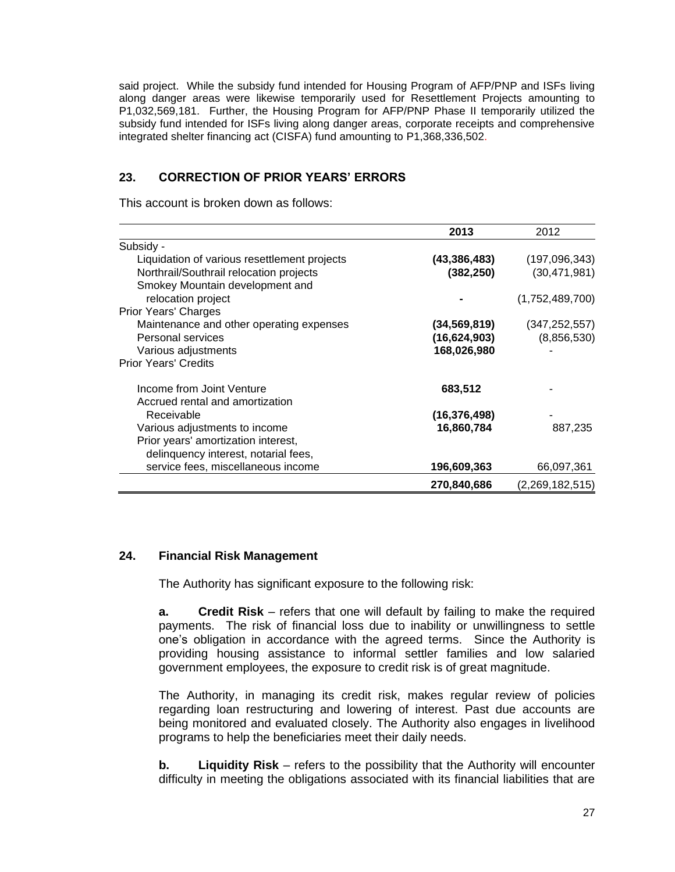said project. While the subsidy fund intended for Housing Program of AFP/PNP and ISFs living along danger areas were likewise temporarily used for Resettlement Projects amounting to P1,032,569,181. Further, the Housing Program for AFP/PNP Phase II temporarily utilized the subsidy fund intended for ISFs living along danger areas, corporate receipts and comprehensive integrated shelter financing act (CISFA) fund amounting to P1,368,336,502.

# **23. CORRECTION OF PRIOR YEARS' ERRORS**

This account is broken down as follows:

|                                              | 2013           | 2012            |
|----------------------------------------------|----------------|-----------------|
| Subsidy -                                    |                |                 |
| Liquidation of various resettlement projects | (43, 386, 483) | (197,096,343)   |
| Northrail/Southrail relocation projects      | (382, 250)     | (30, 471, 981)  |
| Smokey Mountain development and              |                |                 |
| relocation project                           |                | (1,752,489,700) |
| <b>Prior Years' Charges</b>                  |                |                 |
| Maintenance and other operating expenses     | (34, 569, 819) | (347, 252, 557) |
| Personal services                            | (16,624,903)   | (8,856,530)     |
| Various adjustments                          | 168,026,980    |                 |
| <b>Prior Years' Credits</b>                  |                |                 |
| Income from Joint Venture                    | 683,512        |                 |
| Accrued rental and amortization              |                |                 |
| Receivable                                   | (16, 376, 498) |                 |
| Various adjustments to income                | 16,860,784     | 887,235         |
| Prior years' amortization interest,          |                |                 |
| delinquency interest, notarial fees,         |                |                 |
| service fees, miscellaneous income           | 196,609,363    | 66,097,361      |
|                                              | 270,840,686    | (2,269,182,515) |

### **24. Financial Risk Management**

The Authority has significant exposure to the following risk:

**a. Credit Risk** – refers that one will default by failing to make the required payments. The risk of financial loss due to inability or unwillingness to settle one's obligation in accordance with the agreed terms. Since the Authority is providing housing assistance to informal settler families and low salaried government employees, the exposure to credit risk is of great magnitude.

The Authority, in managing its credit risk, makes regular review of policies regarding loan restructuring and lowering of interest. Past due accounts are being monitored and evaluated closely. The Authority also engages in livelihood programs to help the beneficiaries meet their daily needs.

**b. Liquidity Risk** – refers to the possibility that the Authority will encounter difficulty in meeting the obligations associated with its financial liabilities that are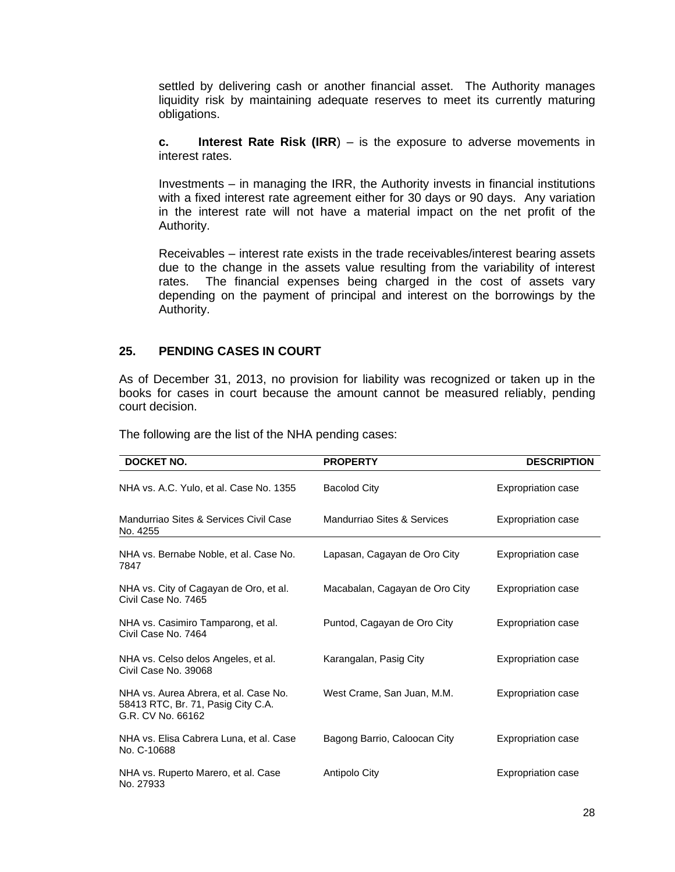settled by delivering cash or another financial asset. The Authority manages liquidity risk by maintaining adequate reserves to meet its currently maturing obligations.

**c. Interest Rate Risk (IRR**) – is the exposure to adverse movements in interest rates.

Investments – in managing the IRR, the Authority invests in financial institutions with a fixed interest rate agreement either for 30 days or 90 days. Any variation in the interest rate will not have a material impact on the net profit of the Authority.

Receivables – interest rate exists in the trade receivables/interest bearing assets due to the change in the assets value resulting from the variability of interest rates. The financial expenses being charged in the cost of assets vary depending on the payment of principal and interest on the borrowings by the Authority.

#### **25. PENDING CASES IN COURT**

As of December 31, 2013, no provision for liability was recognized or taken up in the books for cases in court because the amount cannot be measured reliably, pending court decision.

| DOCKET NO.<br><b>PROPERTY</b>                                                                    |                                | <b>DESCRIPTION</b>        |  |  |
|--------------------------------------------------------------------------------------------------|--------------------------------|---------------------------|--|--|
| NHA vs. A.C. Yulo, et al. Case No. 1355                                                          | <b>Bacolod City</b>            | <b>Expropriation case</b> |  |  |
| Mandurriao Sites & Services Civil Case<br>No. 4255                                               | Mandurriao Sites & Services    | <b>Expropriation case</b> |  |  |
| NHA vs. Bernabe Noble, et al. Case No.<br>7847                                                   | Lapasan, Cagayan de Oro City   | <b>Expropriation case</b> |  |  |
| NHA vs. City of Cagayan de Oro, et al.<br>Civil Case No. 7465                                    | Macabalan, Cagayan de Oro City | <b>Expropriation case</b> |  |  |
| NHA vs. Casimiro Tamparong, et al.<br>Civil Case No. 7464                                        | Puntod, Cagayan de Oro City    | <b>Expropriation case</b> |  |  |
| NHA vs. Celso delos Angeles, et al.<br>Civil Case No. 39068                                      | Karangalan, Pasig City         | <b>Expropriation case</b> |  |  |
| NHA vs. Aurea Abrera, et al. Case No.<br>58413 RTC, Br. 71, Pasig City C.A.<br>G.R. CV No. 66162 | West Crame, San Juan, M.M.     | <b>Expropriation case</b> |  |  |
| NHA vs. Elisa Cabrera Luna, et al. Case<br>No. C-10688                                           | Bagong Barrio, Caloocan City   | <b>Expropriation case</b> |  |  |
| NHA vs. Ruperto Marero, et al. Case<br>No. 27933                                                 | Antipolo City                  | <b>Expropriation case</b> |  |  |

The following are the list of the NHA pending cases: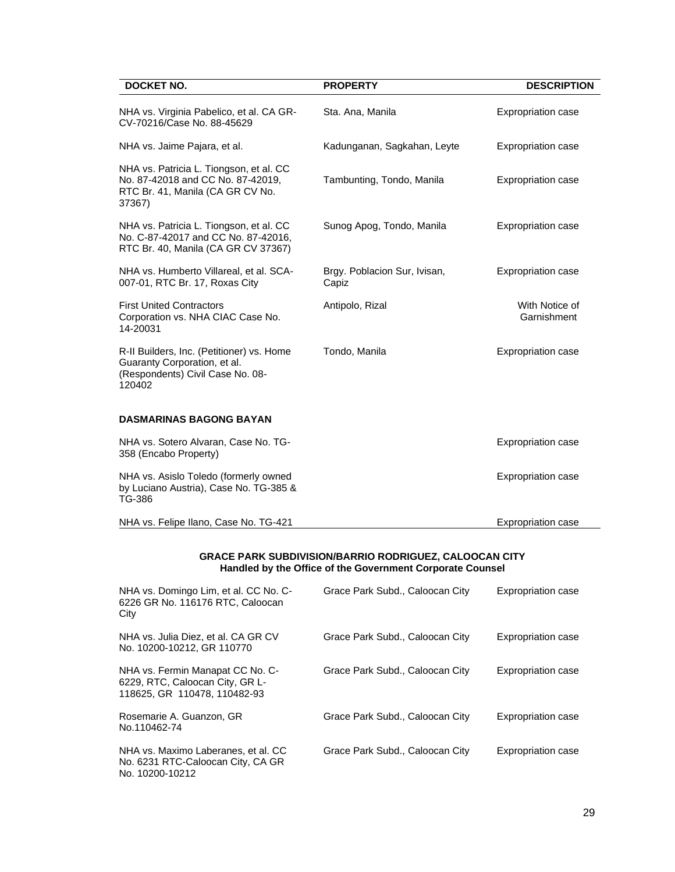| <b>DOCKET NO.</b><br><b>PROPERTY</b>                                                                                       |                                       | <b>DESCRIPTION</b>            |  |  |
|----------------------------------------------------------------------------------------------------------------------------|---------------------------------------|-------------------------------|--|--|
| NHA vs. Virginia Pabelico, et al. CA GR-<br>CV-70216/Case No. 88-45629                                                     | Sta. Ana, Manila                      | <b>Expropriation case</b>     |  |  |
| NHA vs. Jaime Pajara, et al.                                                                                               | Kadunganan, Sagkahan, Leyte           | <b>Expropriation case</b>     |  |  |
| NHA vs. Patricia L. Tiongson, et al. CC<br>No. 87-42018 and CC No. 87-42019,<br>RTC Br. 41, Manila (CA GR CV No.<br>37367) | Tambunting, Tondo, Manila             | Expropriation case            |  |  |
| NHA vs. Patricia L. Tiongson, et al. CC<br>No. C-87-42017 and CC No. 87-42016,<br>RTC Br. 40, Manila (CA GR CV 37367)      | Sunog Apog, Tondo, Manila             | <b>Expropriation case</b>     |  |  |
| NHA vs. Humberto Villareal, et al. SCA-<br>007-01, RTC Br. 17, Roxas City                                                  | Brgy. Poblacion Sur, Ivisan,<br>Capiz | <b>Expropriation case</b>     |  |  |
| <b>First United Contractors</b><br>Corporation vs. NHA CIAC Case No.<br>14-20031                                           | Antipolo, Rizal                       | With Notice of<br>Garnishment |  |  |
| R-II Builders, Inc. (Petitioner) vs. Home<br>Guaranty Corporation, et al.<br>(Respondents) Civil Case No. 08-<br>120402    | Tondo, Manila                         | Expropriation case            |  |  |
| <b>DASMARINAS BAGONG BAYAN</b>                                                                                             |                                       |                               |  |  |
| NHA vs. Sotero Alvaran, Case No. TG-<br>358 (Encabo Property)                                                              |                                       | <b>Expropriation case</b>     |  |  |
| NHA vs. Asislo Toledo (formerly owned<br>by Luciano Austria), Case No. TG-385 &<br>TG-386                                  |                                       | <b>Expropriation case</b>     |  |  |
| NHA vs. Felipe Ilano, Case No. TG-421                                                                                      |                                       | <b>Expropriation case</b>     |  |  |

#### **GRACE PARK SUBDIVISION/BARRIO RODRIGUEZ, CALOOCAN CITY Handled by the Office of the Government Corporate Counsel**

| NHA vs. Domingo Lim, et al. CC No. C-<br>6226 GR No. 116176 RTC, Caloocan<br>City                   | Grace Park Subd., Caloocan City | Expropriation case |
|-----------------------------------------------------------------------------------------------------|---------------------------------|--------------------|
| NHA vs. Julia Diez, et al. CA GR CV<br>No. 10200-10212, GR 110770                                   | Grace Park Subd., Caloocan City | Expropriation case |
| NHA vs. Fermin Manapat CC No. C-<br>6229, RTC, Caloocan City, GR L-<br>118625, GR 110478, 110482-93 | Grace Park Subd., Caloocan City | Expropriation case |
| Rosemarie A. Guanzon, GR<br>No.110462-74                                                            | Grace Park Subd., Caloocan City | Expropriation case |
| NHA vs. Maximo Laberanes, et al. CC<br>No. 6231 RTC-Caloocan City, CA GR<br>No. 10200-10212         | Grace Park Subd., Caloocan City | Expropriation case |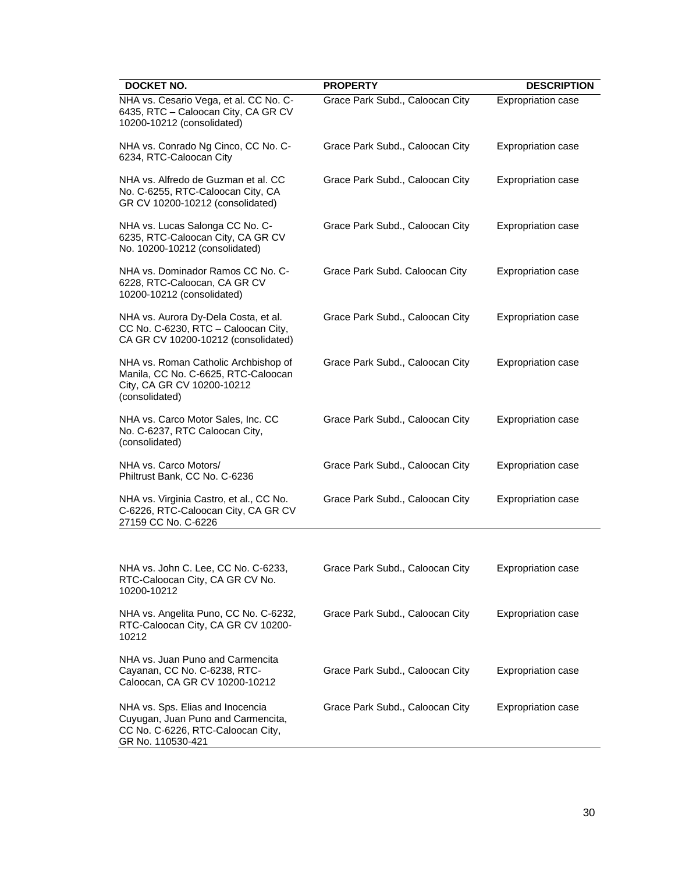| <b>DOCKET NO.</b>                                                                                                                | <b>PROPERTY</b>                 | <b>DESCRIPTION</b>        |
|----------------------------------------------------------------------------------------------------------------------------------|---------------------------------|---------------------------|
| NHA vs. Cesario Vega, et al. CC No. C-<br>6435, RTC - Caloocan City, CA GR CV<br>10200-10212 (consolidated)                      | Grace Park Subd., Caloocan City | Expropriation case        |
| NHA vs. Conrado Ng Cinco, CC No. C-<br>6234, RTC-Caloocan City                                                                   | Grace Park Subd., Caloocan City | <b>Expropriation case</b> |
| NHA vs. Alfredo de Guzman et al. CC<br>No. C-6255, RTC-Caloocan City, CA<br>GR CV 10200-10212 (consolidated)                     | Grace Park Subd., Caloocan City | Expropriation case        |
| NHA vs. Lucas Salonga CC No. C-<br>6235, RTC-Caloocan City, CA GR CV<br>No. 10200-10212 (consolidated)                           | Grace Park Subd., Caloocan City | <b>Expropriation case</b> |
| NHA vs. Dominador Ramos CC No. C-<br>6228, RTC-Caloocan, CA GR CV<br>10200-10212 (consolidated)                                  | Grace Park Subd. Caloocan City  | <b>Expropriation case</b> |
| NHA vs. Aurora Dy-Dela Costa, et al.<br>CC No. C-6230, RTC - Caloocan City,<br>CA GR CV 10200-10212 (consolidated)               | Grace Park Subd., Caloocan City | Expropriation case        |
| NHA vs. Roman Catholic Archbishop of<br>Manila, CC No. C-6625, RTC-Caloocan<br>City, CA GR CV 10200-10212<br>(consolidated)      | Grace Park Subd., Caloocan City | <b>Expropriation case</b> |
| NHA vs. Carco Motor Sales, Inc. CC<br>No. C-6237, RTC Caloocan City,<br>(consolidated)                                           | Grace Park Subd., Caloocan City | <b>Expropriation case</b> |
| NHA vs. Carco Motors/<br>Philtrust Bank, CC No. C-6236                                                                           | Grace Park Subd., Caloocan City | <b>Expropriation case</b> |
| NHA vs. Virginia Castro, et al., CC No.<br>C-6226, RTC-Caloocan City, CA GR CV<br>27159 CC No. C-6226                            | Grace Park Subd., Caloocan City | <b>Expropriation case</b> |
|                                                                                                                                  |                                 |                           |
| NHA vs. John C. Lee, CC No. C-6233,<br>RTC-Caloocan City, CA GR CV No.<br>10200-10212                                            | Grace Park Subd., Caloocan City | Expropriation case        |
| NHA vs. Angelita Puno, CC No. C-6232,<br>RTC-Caloocan City, CA GR CV 10200-<br>10212                                             | Grace Park Subd., Caloocan City | <b>Expropriation case</b> |
| NHA vs. Juan Puno and Carmencita<br>Cayanan, CC No. C-6238, RTC-<br>Caloocan, CA GR CV 10200-10212                               | Grace Park Subd., Caloocan City | <b>Expropriation case</b> |
| NHA vs. Sps. Elias and Inocencia<br>Cuyugan, Juan Puno and Carmencita,<br>CC No. C-6226, RTC-Caloocan City,<br>GR No. 110530-421 | Grace Park Subd., Caloocan City | <b>Expropriation case</b> |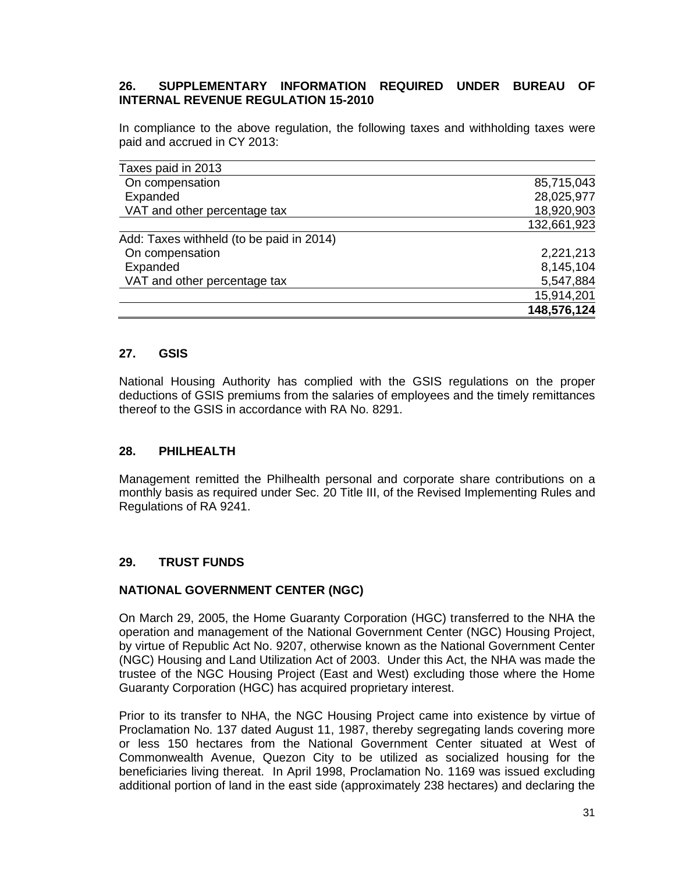### **26. SUPPLEMENTARY INFORMATION REQUIRED UNDER BUREAU OF INTERNAL REVENUE REGULATION 15-2010**

In compliance to the above regulation, the following taxes and withholding taxes were paid and accrued in CY 2013:

| Taxes paid in 2013                       |             |
|------------------------------------------|-------------|
| On compensation                          | 85,715,043  |
| Expanded                                 | 28,025,977  |
| VAT and other percentage tax             | 18,920,903  |
|                                          | 132,661,923 |
| Add: Taxes withheld (to be paid in 2014) |             |
| On compensation                          | 2,221,213   |
| Expanded                                 | 8,145,104   |
| VAT and other percentage tax             | 5,547,884   |
|                                          | 15,914,201  |
|                                          | 148,576,124 |

### **27. GSIS**

National Housing Authority has complied with the GSIS regulations on the proper deductions of GSIS premiums from the salaries of employees and the timely remittances thereof to the GSIS in accordance with RA No. 8291.

### **28. PHILHEALTH**

Management remitted the Philhealth personal and corporate share contributions on a monthly basis as required under Sec. 20 Title III, of the Revised Implementing Rules and Regulations of RA 9241.

### **29. TRUST FUNDS**

#### **NATIONAL GOVERNMENT CENTER (NGC)**

On March 29, 2005, the Home Guaranty Corporation (HGC) transferred to the NHA the operation and management of the National Government Center (NGC) Housing Project, by virtue of Republic Act No. 9207, otherwise known as the National Government Center (NGC) Housing and Land Utilization Act of 2003. Under this Act, the NHA was made the trustee of the NGC Housing Project (East and West) excluding those where the Home Guaranty Corporation (HGC) has acquired proprietary interest.

Prior to its transfer to NHA, the NGC Housing Project came into existence by virtue of Proclamation No. 137 dated August 11, 1987, thereby segregating lands covering more or less 150 hectares from the National Government Center situated at West of Commonwealth Avenue, Quezon City to be utilized as socialized housing for the beneficiaries living thereat. In April 1998, Proclamation No. 1169 was issued excluding additional portion of land in the east side (approximately 238 hectares) and declaring the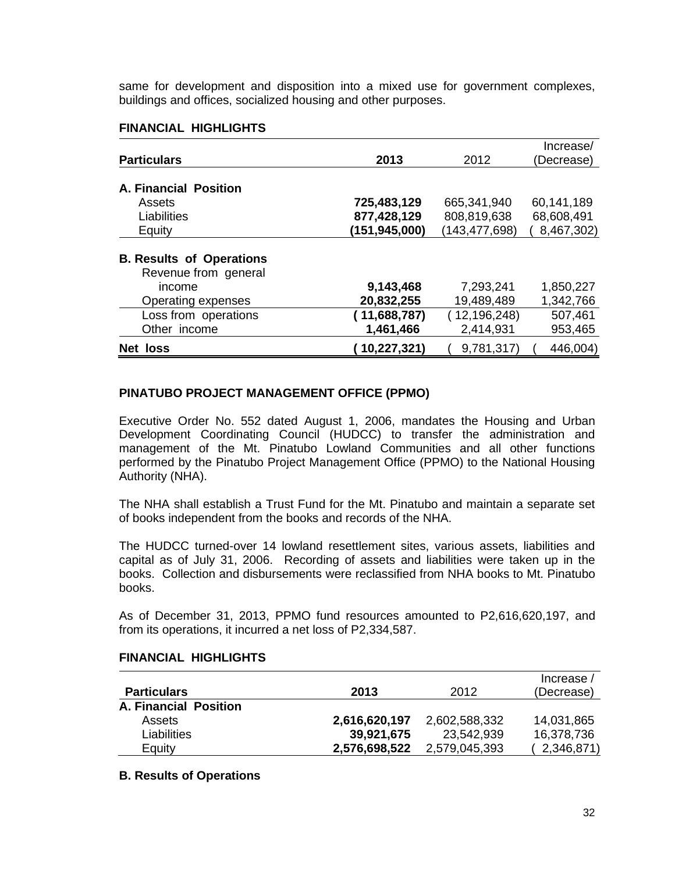same for development and disposition into a mixed use for government complexes, buildings and offices, socialized housing and other purposes.

### **FINANCIAL HIGHLIGHTS**

|                                 |               |                | Increase/  |
|---------------------------------|---------------|----------------|------------|
| <b>Particulars</b>              | 2013          | 2012           | (Decrease) |
|                                 |               |                |            |
| <b>A. Financial Position</b>    |               |                |            |
| Assets                          | 725,483,129   | 665,341,940    | 60,141,189 |
| Liabilities                     | 877,428,129   | 808,819,638    | 68,608,491 |
| Equity                          | (151,945,000) | (143,477,698)  | 8,467,302) |
|                                 |               |                |            |
| <b>B. Results of Operations</b> |               |                |            |
| Revenue from general            |               |                |            |
| income                          | 9,143,468     | 7,293,241      | 1,850,227  |
| Operating expenses              | 20,832,255    | 19,489,489     | 1,342,766  |
| Loss from operations            | (11,688,787)  | (12, 196, 248) | 507,461    |
| Other income                    | 1,461,466     | 2,414,931      | 953,465    |
| Net loss                        | 10,227,321)   | 9,781,317)     | 446,004)   |

#### **PINATUBO PROJECT MANAGEMENT OFFICE (PPMO)**

Executive Order No. 552 dated August 1, 2006, mandates the Housing and Urban Development Coordinating Council (HUDCC) to transfer the administration and management of the Mt. Pinatubo Lowland Communities and all other functions performed by the Pinatubo Project Management Office (PPMO) to the National Housing Authority (NHA).

The NHA shall establish a Trust Fund for the Mt. Pinatubo and maintain a separate set of books independent from the books and records of the NHA.

The HUDCC turned-over 14 lowland resettlement sites, various assets, liabilities and capital as of July 31, 2006. Recording of assets and liabilities were taken up in the books. Collection and disbursements were reclassified from NHA books to Mt. Pinatubo books.

As of December 31, 2013, PPMO fund resources amounted to P2,616,620,197, and from its operations, it incurred a net loss of P2,334,587.

| <b>Particulars</b>    | 2013          | 2012          | Increase /<br>(Decrease) |
|-----------------------|---------------|---------------|--------------------------|
| A. Financial Position |               |               |                          |
| Assets                | 2,616,620,197 | 2,602,588,332 | 14,031,865               |
| Liabilities           | 39,921,675    | 23,542,939    | 16,378,736               |
| Equity                | 2,576,698,522 | 2,579,045,393 | 2,346,871)               |

### **B. Results of Operations**